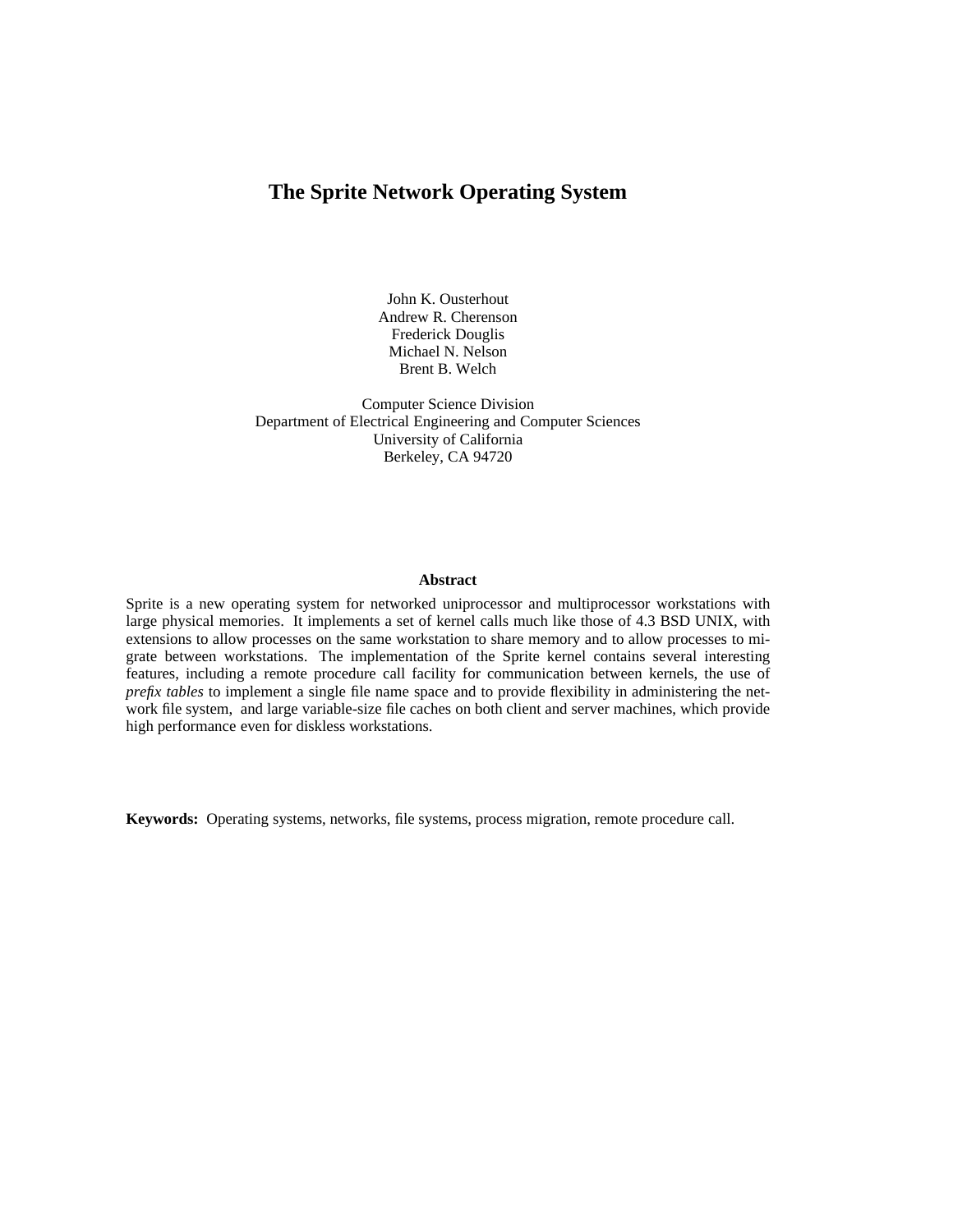# **The Sprite Network Operating System**

John K. Ousterhout Andrew R. Cherenson Frederick Douglis Michael N. Nelson Brent B. Welch

Computer Science Division Department of Electrical Engineering and Computer Sciences University of California Berkeley, CA 94720

# **Abstract**

Sprite is a new operating system for networked uniprocessor and multiprocessor workstations with large physical memories. It implements a set of kernel calls much like those of 4.3 BSD UNIX, with extensions to allow processes on the same workstation to share memory and to allow processes to migrate between workstations. The implementation of the Sprite kernel contains several interesting features, including a remote procedure call facility for communication between kernels, the use of *prefix tables* to implement a single file name space and to provide flexibility in administering the network file system, and large variable-size file caches on both client and server machines, which provide high performance even for diskless workstations.

**Keywords:** Operating systems, networks, file systems, process migration, remote procedure call.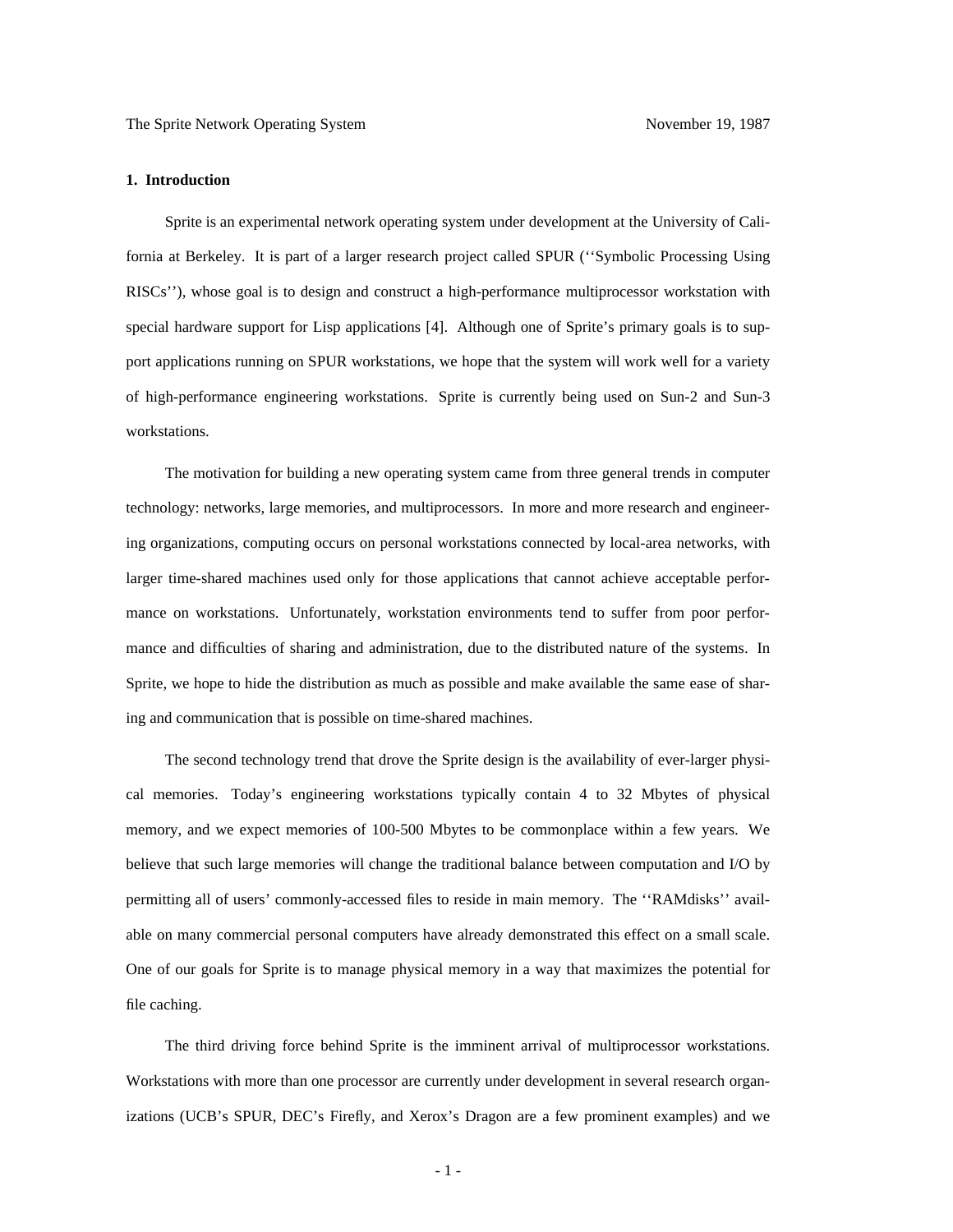# **1. Introduction**

Sprite is an experimental network operating system under development at the University of California at Berkeley. It is part of a larger research project called SPUR (''Symbolic Processing Using RISCs''), whose goal is to design and construct a high-performance multiprocessor workstation with special hardware support for Lisp applications [4]. Although one of Sprite's primary goals is to support applications running on SPUR workstations, we hope that the system will work well for a variety of high-performance engineering workstations. Sprite is currently being used on Sun-2 and Sun-3 workstations.

The motivation for building a new operating system came from three general trends in computer technology: networks, large memories, and multiprocessors. In more and more research and engineering organizations, computing occurs on personal workstations connected by local-area networks, with larger time-shared machines used only for those applications that cannot achieve acceptable performance on workstations. Unfortunately, workstation environments tend to suffer from poor performance and difficulties of sharing and administration, due to the distributed nature of the systems. In Sprite, we hope to hide the distribution as much as possible and make available the same ease of sharing and communication that is possible on time-shared machines.

The second technology trend that drove the Sprite design is the availability of ever-larger physical memories. Today's engineering workstations typically contain 4 to 32 Mbytes of physical memory, and we expect memories of 100-500 Mbytes to be commonplace within a few years. We believe that such large memories will change the traditional balance between computation and I/O by permitting all of users' commonly-accessed files to reside in main memory. The ''RAMdisks'' available on many commercial personal computers have already demonstrated this effect on a small scale. One of our goals for Sprite is to manage physical memory in a way that maximizes the potential for file caching.

The third driving force behind Sprite is the imminent arrival of multiprocessor workstations. Workstations with more than one processor are currently under development in several research organizations (UCB's SPUR, DEC's Firefly, and Xerox's Dragon are a few prominent examples) and we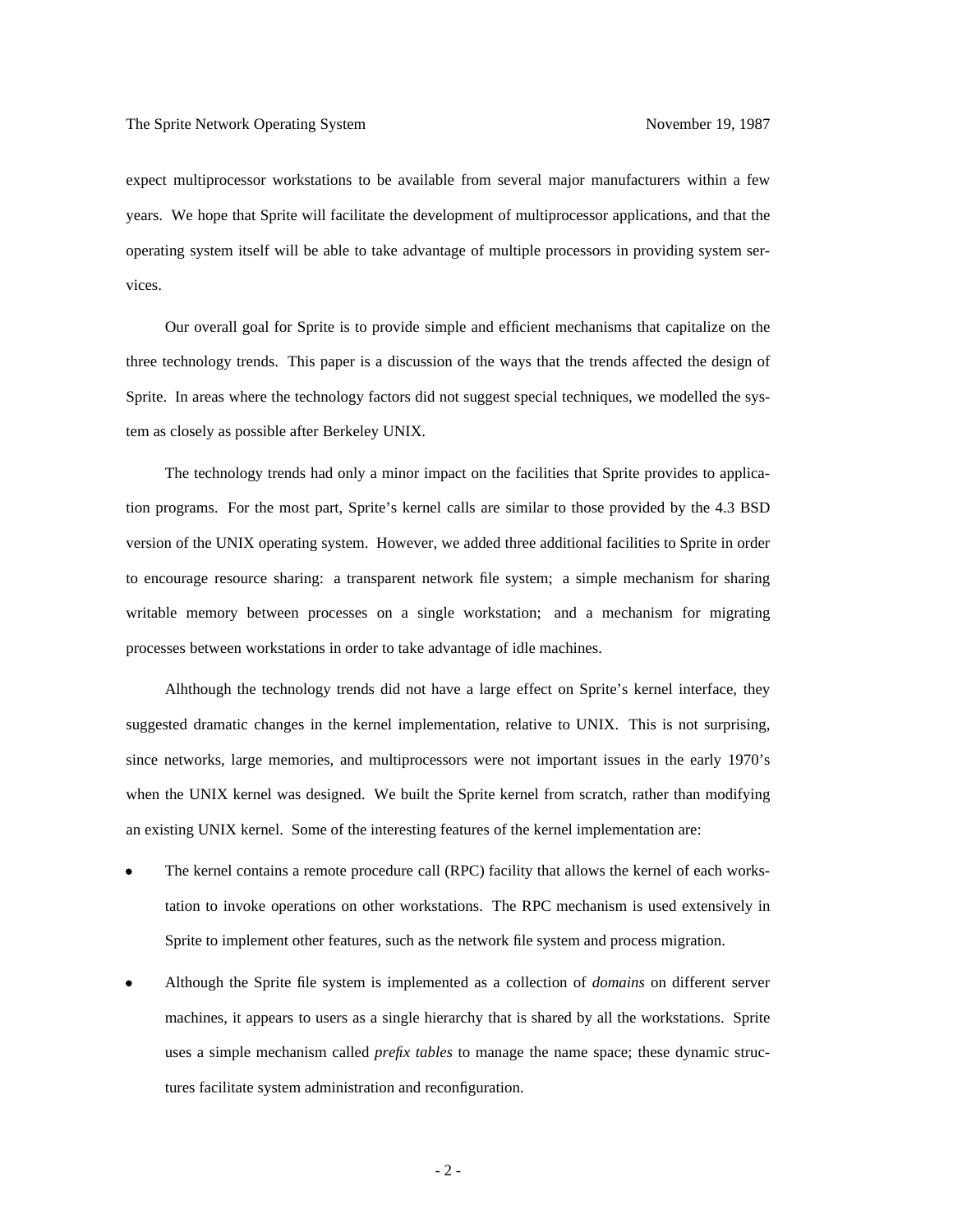expect multiprocessor workstations to be available from several major manufacturers within a few years. We hope that Sprite will facilitate the development of multiprocessor applications, and that the operating system itself will be able to take advantage of multiple processors in providing system services.

Our overall goal for Sprite is to provide simple and efficient mechanisms that capitalize on the three technology trends. This paper is a discussion of the ways that the trends affected the design of Sprite. In areas where the technology factors did not suggest special techniques, we modelled the system as closely as possible after Berkeley UNIX.

The technology trends had only a minor impact on the facilities that Sprite provides to application programs. For the most part, Sprite's kernel calls are similar to those provided by the 4.3 BSD version of the UNIX operating system. However, we added three additional facilities to Sprite in order to encourage resource sharing: a transparent network file system; a simple mechanism for sharing writable memory between processes on a single workstation; and a mechanism for migrating processes between workstations in order to take advantage of idle machines.

Alhthough the technology trends did not have a large effect on Sprite's kernel interface, they suggested dramatic changes in the kernel implementation, relative to UNIX. This is not surprising, since networks, large memories, and multiprocessors were not important issues in the early 1970's when the UNIX kernel was designed. We built the Sprite kernel from scratch, rather than modifying an existing UNIX kernel. Some of the interesting features of the kernel implementation are:

- The kernel contains a remote procedure call (RPC) facility that allows the kernel of each workstation to invoke operations on other workstations. The RPC mechanism is used extensively in Sprite to implement other features, such as the network file system and process migration.
- g Although the Sprite file system is implemented as a collection of *domains* on different server machines, it appears to users as a single hierarchy that is shared by all the workstations. Sprite uses a simple mechanism called *prefix tables* to manage the name space; these dynamic structures facilitate system administration and reconfiguration.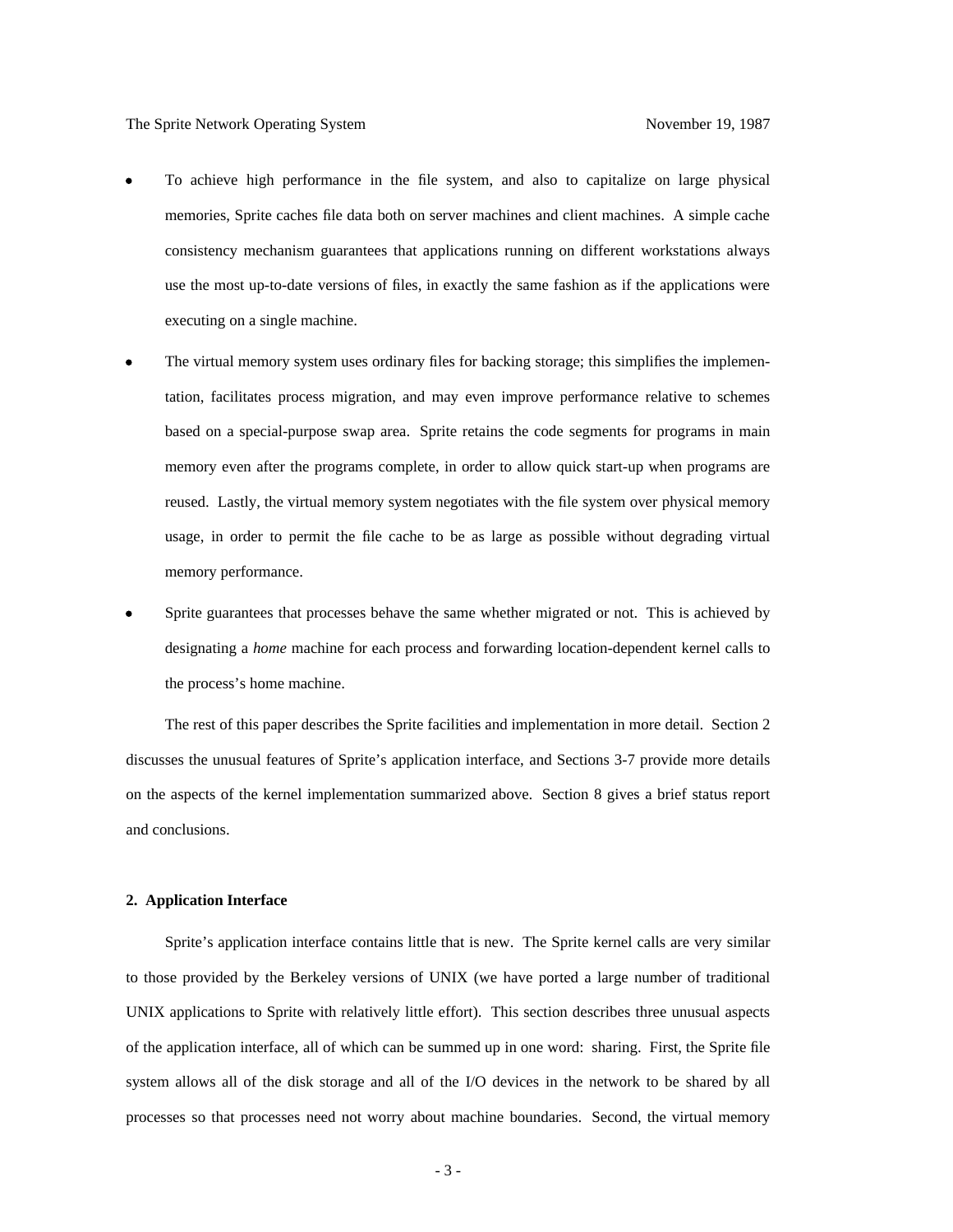- g To achieve high performance in the file system, and also to capitalize on large physical memories, Sprite caches file data both on server machines and client machines. A simple cache consistency mechanism guarantees that applications running on different workstations always use the most up-to-date versions of files, in exactly the same fashion as if the applications were executing on a single machine.
- The virtual memory system uses ordinary files for backing storage; this simplifies the implementation, facilitates process migration, and may even improve performance relative to schemes based on a special-purpose swap area. Sprite retains the code segments for programs in main memory even after the programs complete, in order to allow quick start-up when programs are reused. Lastly, the virtual memory system negotiates with the file system over physical memory usage, in order to permit the file cache to be as large as possible without degrading virtual memory performance.
- Sprite guarantees that processes behave the same whether migrated or not. This is achieved by designating a *home* machine for each process and forwarding location-dependent kernel calls to the process's home machine.

The rest of this paper describes the Sprite facilities and implementation in more detail. Section 2 discusses the unusual features of Sprite's application interface, and Sections 3-7 provide more details on the aspects of the kernel implementation summarized above. Section 8 gives a brief status report and conclusions.

#### **2. Application Interface**

Sprite's application interface contains little that is new. The Sprite kernel calls are very similar to those provided by the Berkeley versions of UNIX (we have ported a large number of traditional UNIX applications to Sprite with relatively little effort). This section describes three unusual aspects of the application interface, all of which can be summed up in one word: sharing. First, the Sprite file system allows all of the disk storage and all of the I/O devices in the network to be shared by all processes so that processes need not worry about machine boundaries. Second, the virtual memory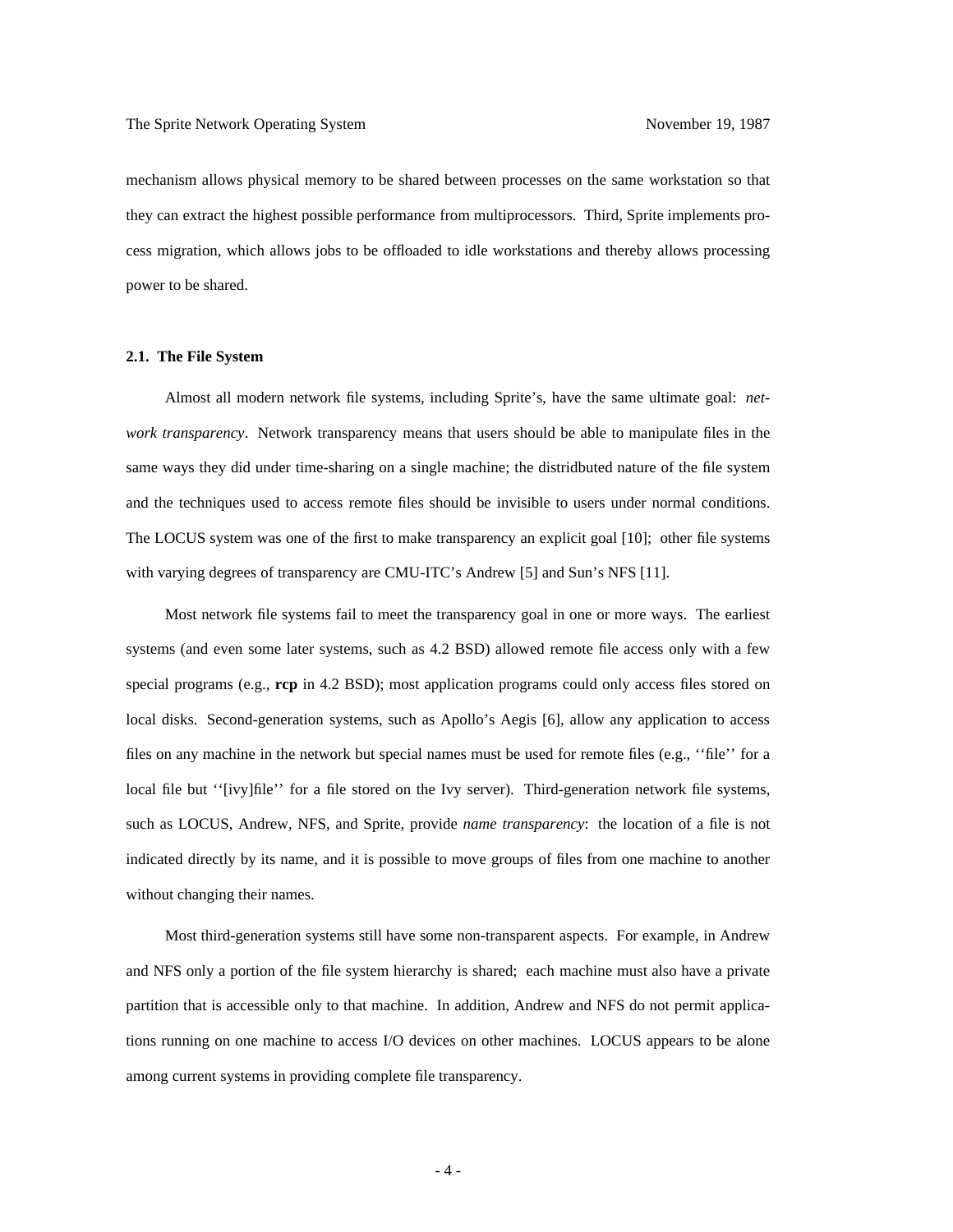mechanism allows physical memory to be shared between processes on the same workstation so that they can extract the highest possible performance from multiprocessors. Third, Sprite implements process migration, which allows jobs to be offloaded to idle workstations and thereby allows processing power to be shared.

# **2.1. The File System**

Almost all modern network file systems, including Sprite's, have the same ultimate goal: *network transparency*. Network transparency means that users should be able to manipulate files in the same ways they did under time-sharing on a single machine; the distridbuted nature of the file system and the techniques used to access remote files should be invisible to users under normal conditions. The LOCUS system was one of the first to make transparency an explicit goal [10]; other file systems with varying degrees of transparency are CMU-ITC's Andrew [5] and Sun's NFS [11].

Most network file systems fail to meet the transparency goal in one or more ways. The earliest systems (and even some later systems, such as 4.2 BSD) allowed remote file access only with a few special programs (e.g., **rcp** in 4.2 BSD); most application programs could only access files stored on local disks. Second-generation systems, such as Apollo's Aegis [6], allow any application to access files on any machine in the network but special names must be used for remote files (e.g., ''file'' for a local file but "[ivy]file" for a file stored on the Ivy server). Third-generation network file systems, such as LOCUS, Andrew, NFS, and Sprite, provide *name transparency*: the location of a file is not indicated directly by its name, and it is possible to move groups of files from one machine to another without changing their names.

Most third-generation systems still have some non-transparent aspects. For example, in Andrew and NFS only a portion of the file system hierarchy is shared; each machine must also have a private partition that is accessible only to that machine. In addition, Andrew and NFS do not permit applications running on one machine to access I/O devices on other machines. LOCUS appears to be alone among current systems in providing complete file transparency.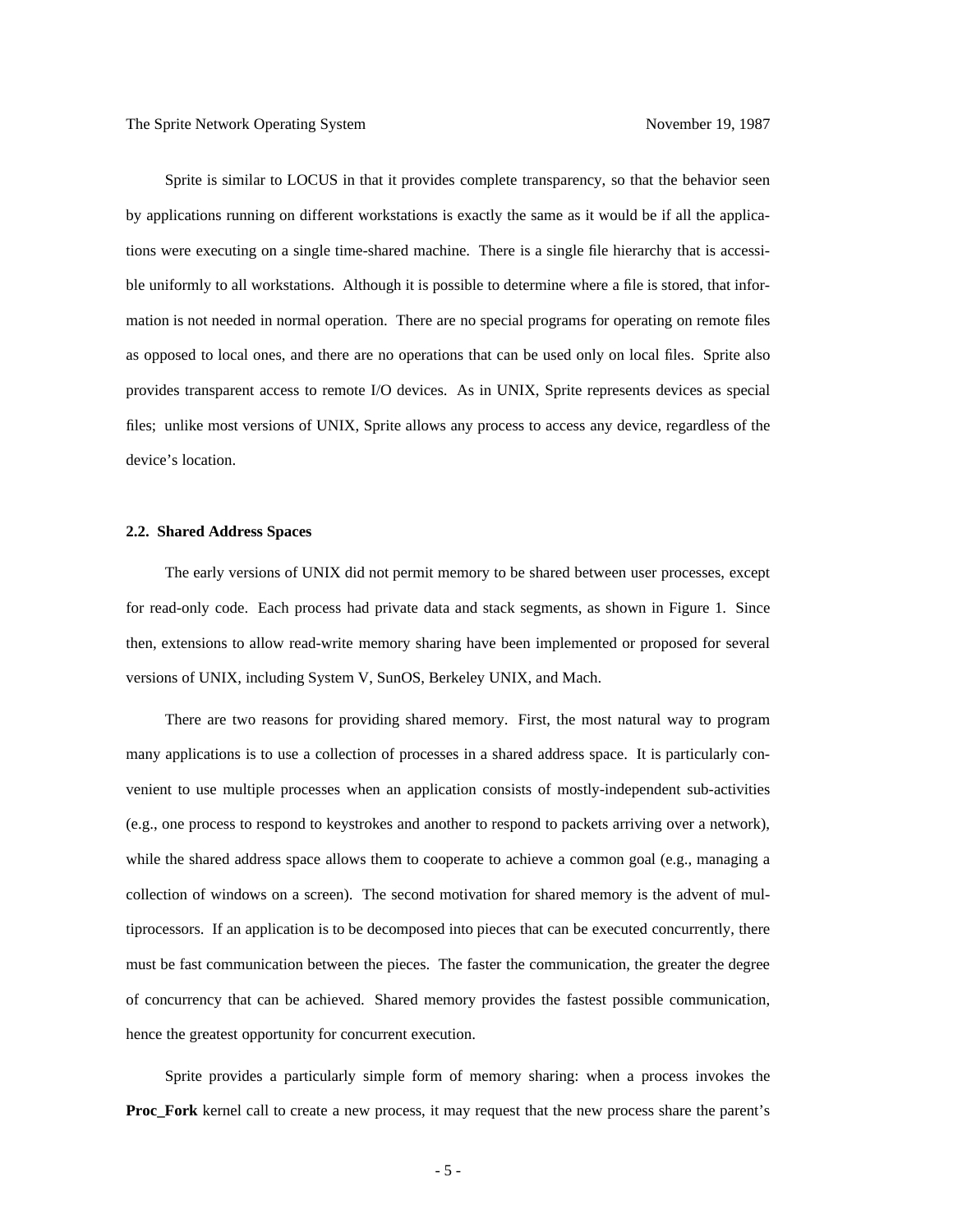Sprite is similar to LOCUS in that it provides complete transparency, so that the behavior seen by applications running on different workstations is exactly the same as it would be if all the applications were executing on a single time-shared machine. There is a single file hierarchy that is accessible uniformly to all workstations. Although it is possible to determine where a file is stored, that information is not needed in normal operation. There are no special programs for operating on remote files as opposed to local ones, and there are no operations that can be used only on local files. Sprite also provides transparent access to remote I/O devices. As in UNIX, Sprite represents devices as special files; unlike most versions of UNIX, Sprite allows any process to access any device, regardless of the device's location.

# **2.2. Shared Address Spaces**

The early versions of UNIX did not permit memory to be shared between user processes, except for read-only code. Each process had private data and stack segments, as shown in Figure 1. Since then, extensions to allow read-write memory sharing have been implemented or proposed for several versions of UNIX, including System V, SunOS, Berkeley UNIX, and Mach.

There are two reasons for providing shared memory. First, the most natural way to program many applications is to use a collection of processes in a shared address space. It is particularly convenient to use multiple processes when an application consists of mostly-independent sub-activities (e.g., one process to respond to keystrokes and another to respond to packets arriving over a network), while the shared address space allows them to cooperate to achieve a common goal (e.g., managing a collection of windows on a screen). The second motivation for shared memory is the advent of multiprocessors. If an application is to be decomposed into pieces that can be executed concurrently, there must be fast communication between the pieces. The faster the communication, the greater the degree of concurrency that can be achieved. Shared memory provides the fastest possible communication, hence the greatest opportunity for concurrent execution.

Sprite provides a particularly simple form of memory sharing: when a process invokes the **Proc\_Fork** kernel call to create a new process, it may request that the new process share the parent's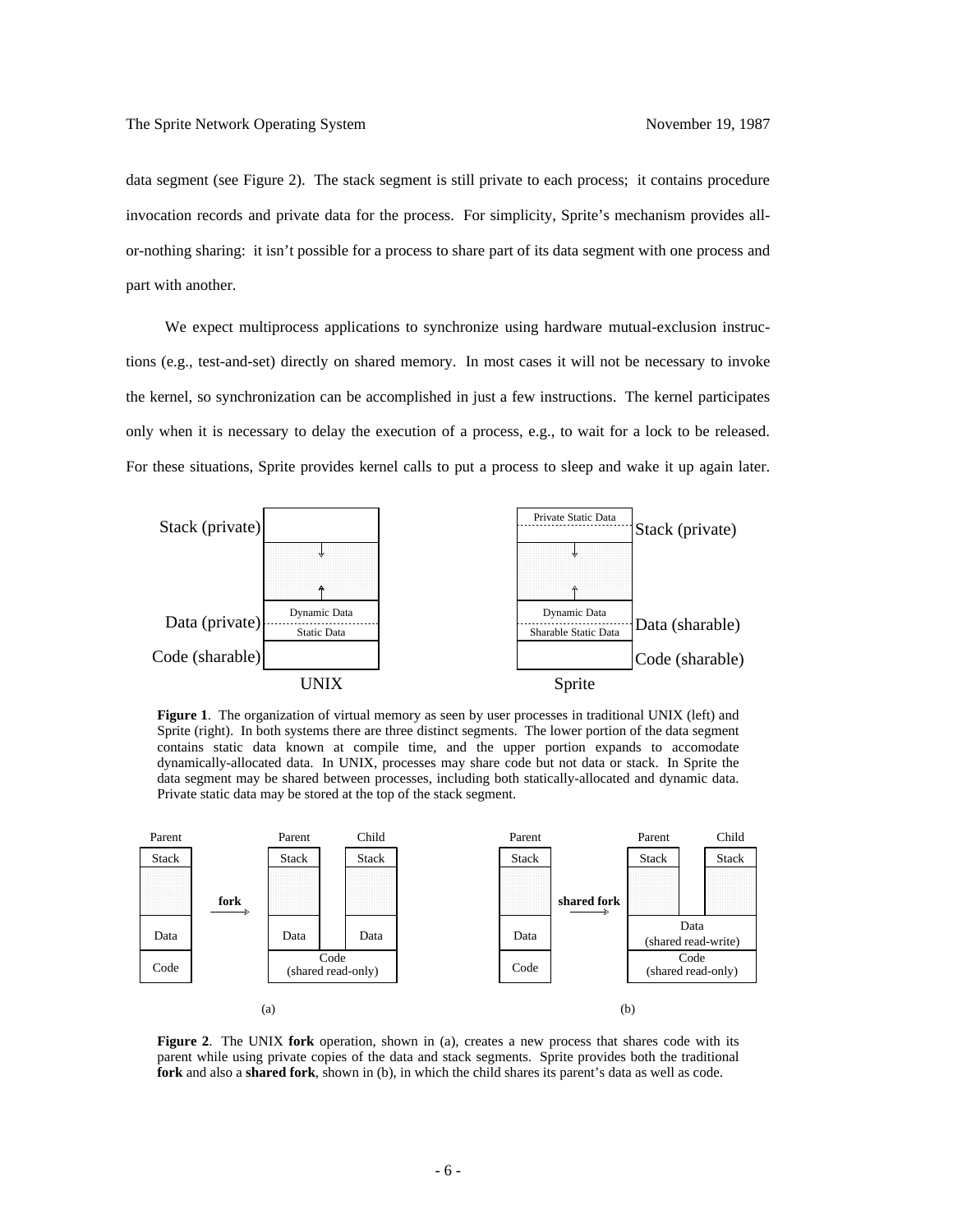data segment (see Figure 2). The stack segment is still private to each process; it contains procedure invocation records and private data for the process. For simplicity, Sprite's mechanism provides allor-nothing sharing: it isn't possible for a process to share part of its data segment with one process and part with another.

We expect multiprocess applications to synchronize using hardware mutual-exclusion instructions (e.g., test-and-set) directly on shared memory. In most cases it will not be necessary to invoke the kernel, so synchronization can be accomplished in just a few instructions. The kernel participates only when it is necessary to delay the execution of a process, e.g., to wait for a lock to be released. For these situations, Sprite provides kernel calls to put a process to sleep and wake it up again later.



**Figure 1**. The organization of virtual memory as seen by user processes in traditional UNIX (left) and Sprite (right). In both systems there are three distinct segments. The lower portion of the data segment contains static data known at compile time, and the upper portion expands to accomodate dynamically-allocated data. In UNIX, processes may share code but not data or stack. In Sprite the data segment may be shared between processes, including both statically-allocated and dynamic data. Private static data may be stored at the top of the stack segment.



**Figure 2**. The UNIX **fork** operation, shown in (a), creates a new process that shares code with its parent while using private copies of the data and stack segments. Sprite provides both the traditional **fork** and also a **shared fork**, shown in (b), in which the child shares its parent's data as well as code.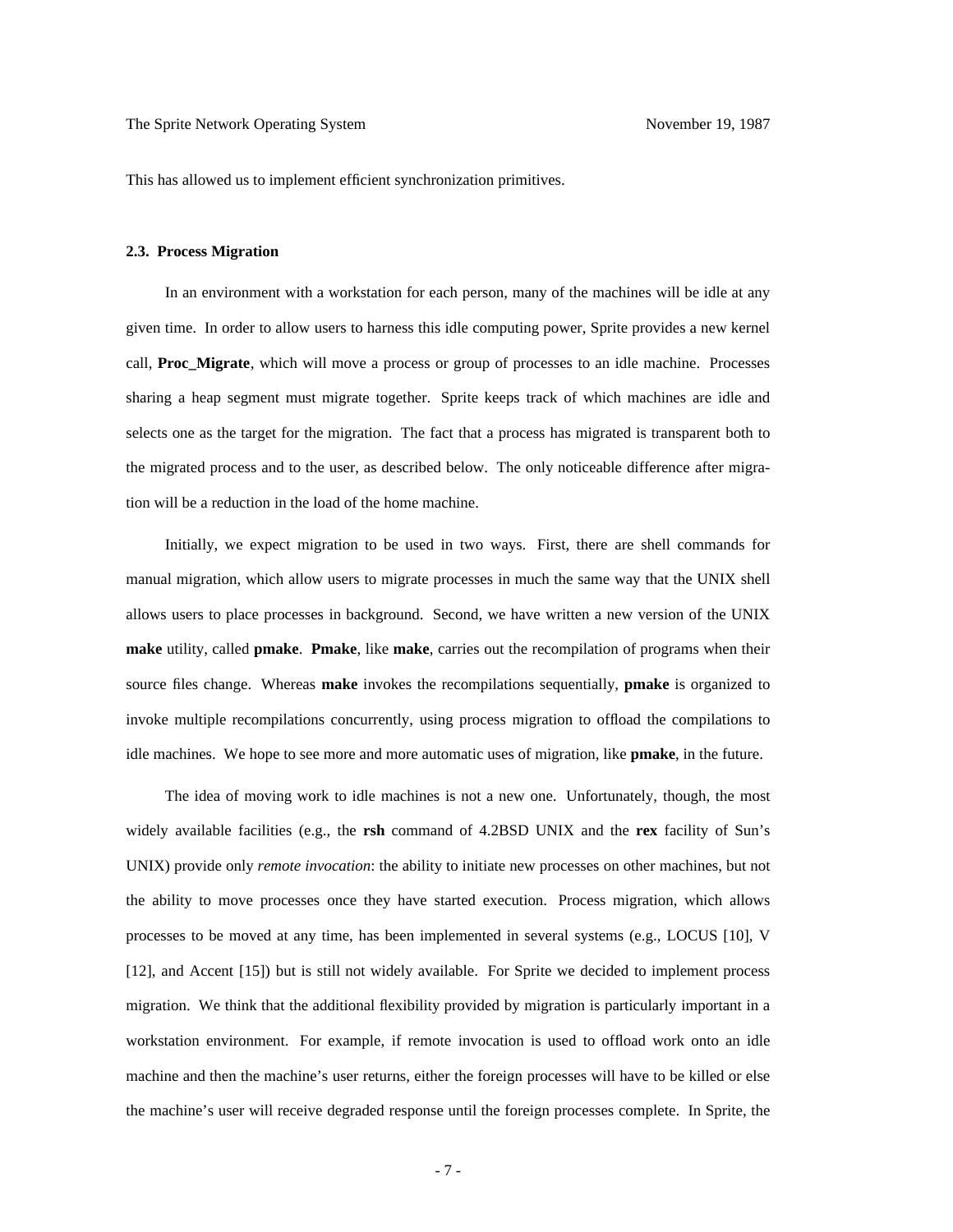This has allowed us to implement efficient synchronization primitives.

#### **2.3. Process Migration**

In an environment with a workstation for each person, many of the machines will be idle at any given time. In order to allow users to harness this idle computing power, Sprite provides a new kernel call, **Proc\_Migrate**, which will move a process or group of processes to an idle machine. Processes sharing a heap segment must migrate together. Sprite keeps track of which machines are idle and selects one as the target for the migration. The fact that a process has migrated is transparent both to the migrated process and to the user, as described below. The only noticeable difference after migration will be a reduction in the load of the home machine.

Initially, we expect migration to be used in two ways. First, there are shell commands for manual migration, which allow users to migrate processes in much the same way that the UNIX shell allows users to place processes in background. Second, we have written a new version of the UNIX **make** utility, called **pmake**. **Pmake**, like **make**, carries out the recompilation of programs when their source files change. Whereas **make** invokes the recompilations sequentially, **pmake** is organized to invoke multiple recompilations concurrently, using process migration to offload the compilations to idle machines. We hope to see more and more automatic uses of migration, like **pmake**, in the future.

The idea of moving work to idle machines is not a new one. Unfortunately, though, the most widely available facilities (e.g., the **rsh** command of 4.2BSD UNIX and the **rex** facility of Sun's UNIX) provide only *remote invocation*: the ability to initiate new processes on other machines, but not the ability to move processes once they have started execution. Process migration, which allows processes to be moved at any time, has been implemented in several systems (e.g., LOCUS [10], V [12], and Accent [15]) but is still not widely available. For Sprite we decided to implement process migration. We think that the additional flexibility provided by migration is particularly important in a workstation environment. For example, if remote invocation is used to offload work onto an idle machine and then the machine's user returns, either the foreign processes will have to be killed or else the machine's user will receive degraded response until the foreign processes complete. In Sprite, the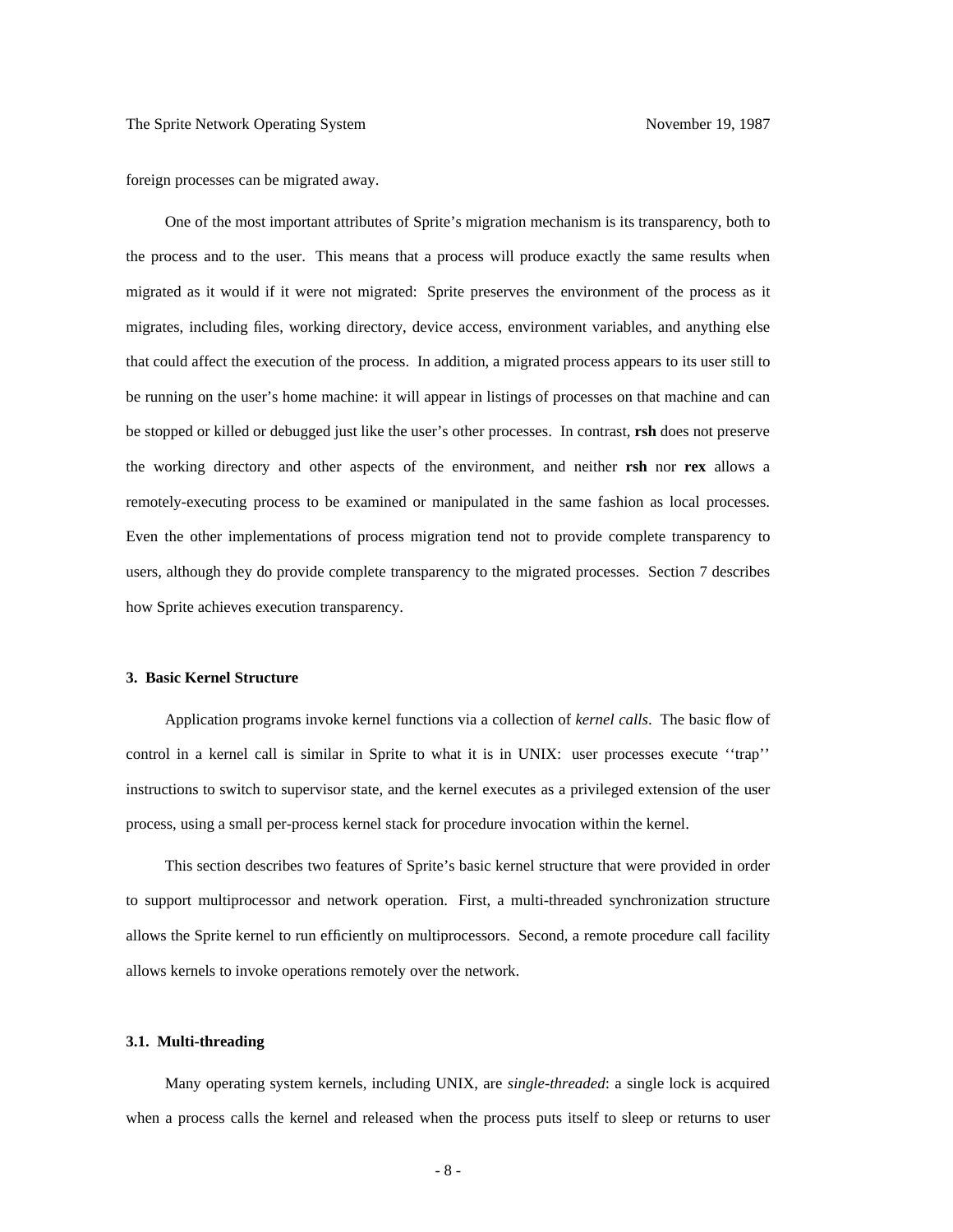foreign processes can be migrated away.

One of the most important attributes of Sprite's migration mechanism is its transparency, both to the process and to the user. This means that a process will produce exactly the same results when migrated as it would if it were not migrated: Sprite preserves the environment of the process as it migrates, including files, working directory, device access, environment variables, and anything else that could affect the execution of the process. In addition, a migrated process appears to its user still to be running on the user's home machine: it will appear in listings of processes on that machine and can be stopped or killed or debugged just like the user's other processes. In contrast, **rsh** does not preserve the working directory and other aspects of the environment, and neither **rsh** nor **rex** allows a remotely-executing process to be examined or manipulated in the same fashion as local processes. Even the other implementations of process migration tend not to provide complete transparency to users, although they do provide complete transparency to the migrated processes. Section 7 describes how Sprite achieves execution transparency.

# **3. Basic Kernel Structure**

Application programs invoke kernel functions via a collection of *kernel calls*. The basic flow of control in a kernel call is similar in Sprite to what it is in UNIX: user processes execute ''trap'' instructions to switch to supervisor state, and the kernel executes as a privileged extension of the user process, using a small per-process kernel stack for procedure invocation within the kernel.

This section describes two features of Sprite's basic kernel structure that were provided in order to support multiprocessor and network operation. First, a multi-threaded synchronization structure allows the Sprite kernel to run efficiently on multiprocessors. Second, a remote procedure call facility allows kernels to invoke operations remotely over the network.

# **3.1. Multi-threading**

Many operating system kernels, including UNIX, are *single-threaded*: a single lock is acquired when a process calls the kernel and released when the process puts itself to sleep or returns to user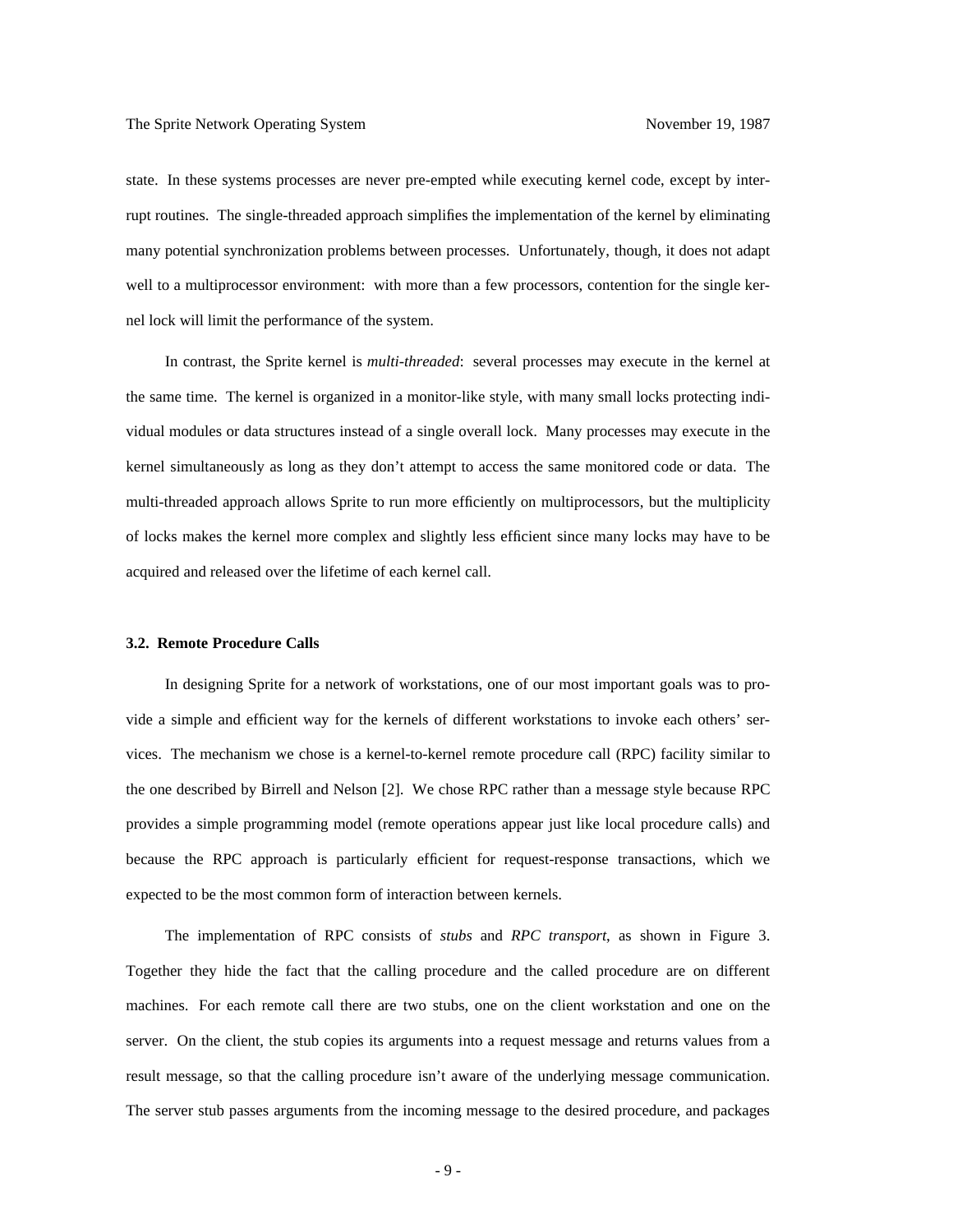state. In these systems processes are never pre-empted while executing kernel code, except by interrupt routines. The single-threaded approach simplifies the implementation of the kernel by eliminating many potential synchronization problems between processes. Unfortunately, though, it does not adapt well to a multiprocessor environment: with more than a few processors, contention for the single kernel lock will limit the performance of the system.

In contrast, the Sprite kernel is *multi-threaded*: several processes may execute in the kernel at the same time. The kernel is organized in a monitor-like style, with many small locks protecting individual modules or data structures instead of a single overall lock. Many processes may execute in the kernel simultaneously as long as they don't attempt to access the same monitored code or data. The multi-threaded approach allows Sprite to run more efficiently on multiprocessors, but the multiplicity of locks makes the kernel more complex and slightly less efficient since many locks may have to be acquired and released over the lifetime of each kernel call.

#### **3.2. Remote Procedure Calls**

In designing Sprite for a network of workstations, one of our most important goals was to provide a simple and efficient way for the kernels of different workstations to invoke each others' services. The mechanism we chose is a kernel-to-kernel remote procedure call (RPC) facility similar to the one described by Birrell and Nelson [2]. We chose RPC rather than a message style because RPC provides a simple programming model (remote operations appear just like local procedure calls) and because the RPC approach is particularly efficient for request-response transactions, which we expected to be the most common form of interaction between kernels.

The implementation of RPC consists of *stubs* and *RPC transport*, as shown in Figure 3. Together they hide the fact that the calling procedure and the called procedure are on different machines. For each remote call there are two stubs, one on the client workstation and one on the server. On the client, the stub copies its arguments into a request message and returns values from a result message, so that the calling procedure isn't aware of the underlying message communication. The server stub passes arguments from the incoming message to the desired procedure, and packages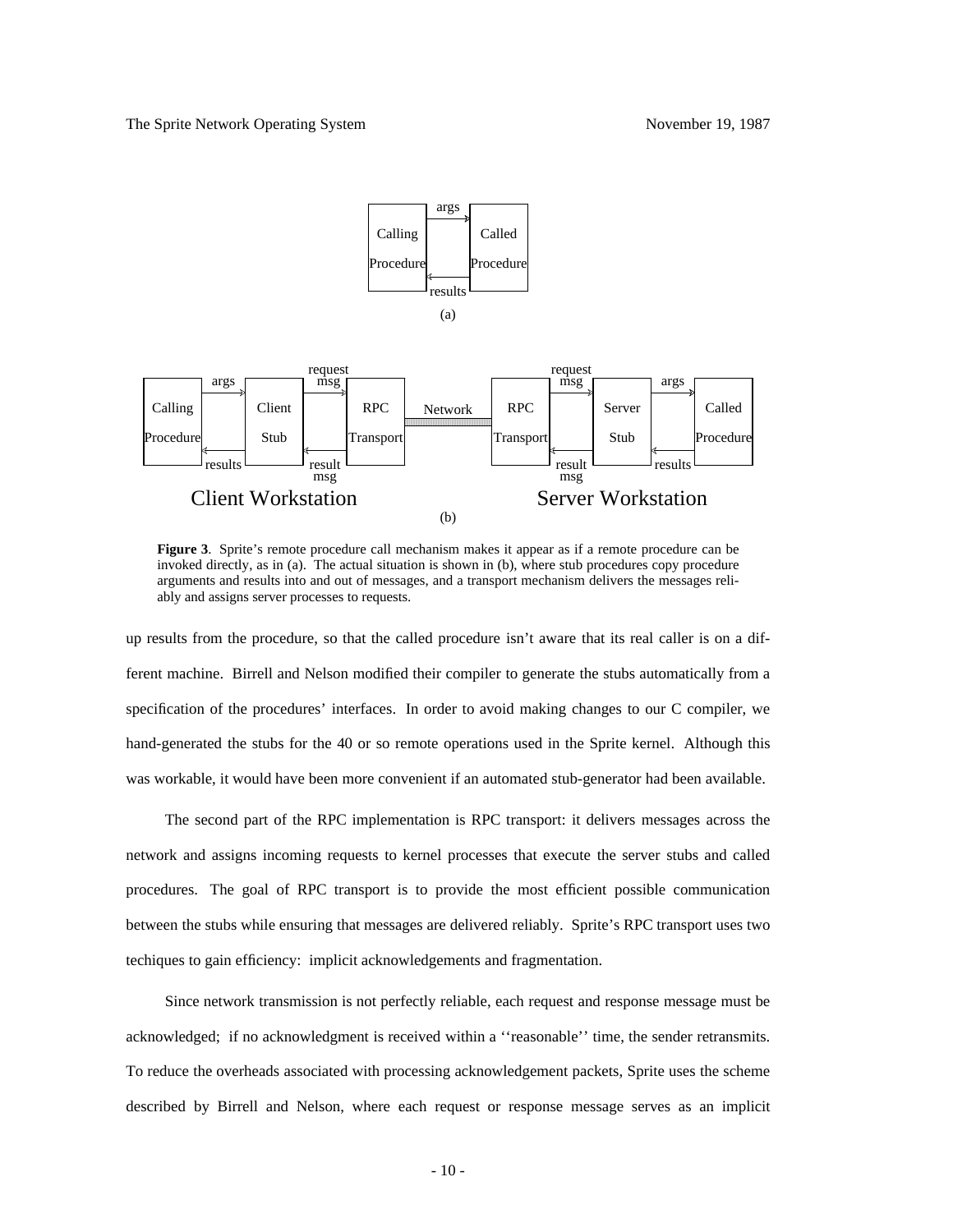



**Figure 3**. Sprite's remote procedure call mechanism makes it appear as if a remote procedure can be invoked directly, as in (a). The actual situation is shown in (b), where stub procedures copy procedure arguments and results into and out of messages, and a transport mechanism delivers the messages reliably and assigns server processes to requests.

up results from the procedure, so that the called procedure isn't aware that its real caller is on a different machine. Birrell and Nelson modified their compiler to generate the stubs automatically from a specification of the procedures' interfaces. In order to avoid making changes to our C compiler, we hand-generated the stubs for the 40 or so remote operations used in the Sprite kernel. Although this was workable, it would have been more convenient if an automated stub-generator had been available.

The second part of the RPC implementation is RPC transport: it delivers messages across the network and assigns incoming requests to kernel processes that execute the server stubs and called procedures. The goal of RPC transport is to provide the most efficient possible communication between the stubs while ensuring that messages are delivered reliably. Sprite's RPC transport uses two techiques to gain efficiency: implicit acknowledgements and fragmentation.

Since network transmission is not perfectly reliable, each request and response message must be acknowledged; if no acknowledgment is received within a ''reasonable'' time, the sender retransmits. To reduce the overheads associated with processing acknowledgement packets, Sprite uses the scheme described by Birrell and Nelson, where each request or response message serves as an implicit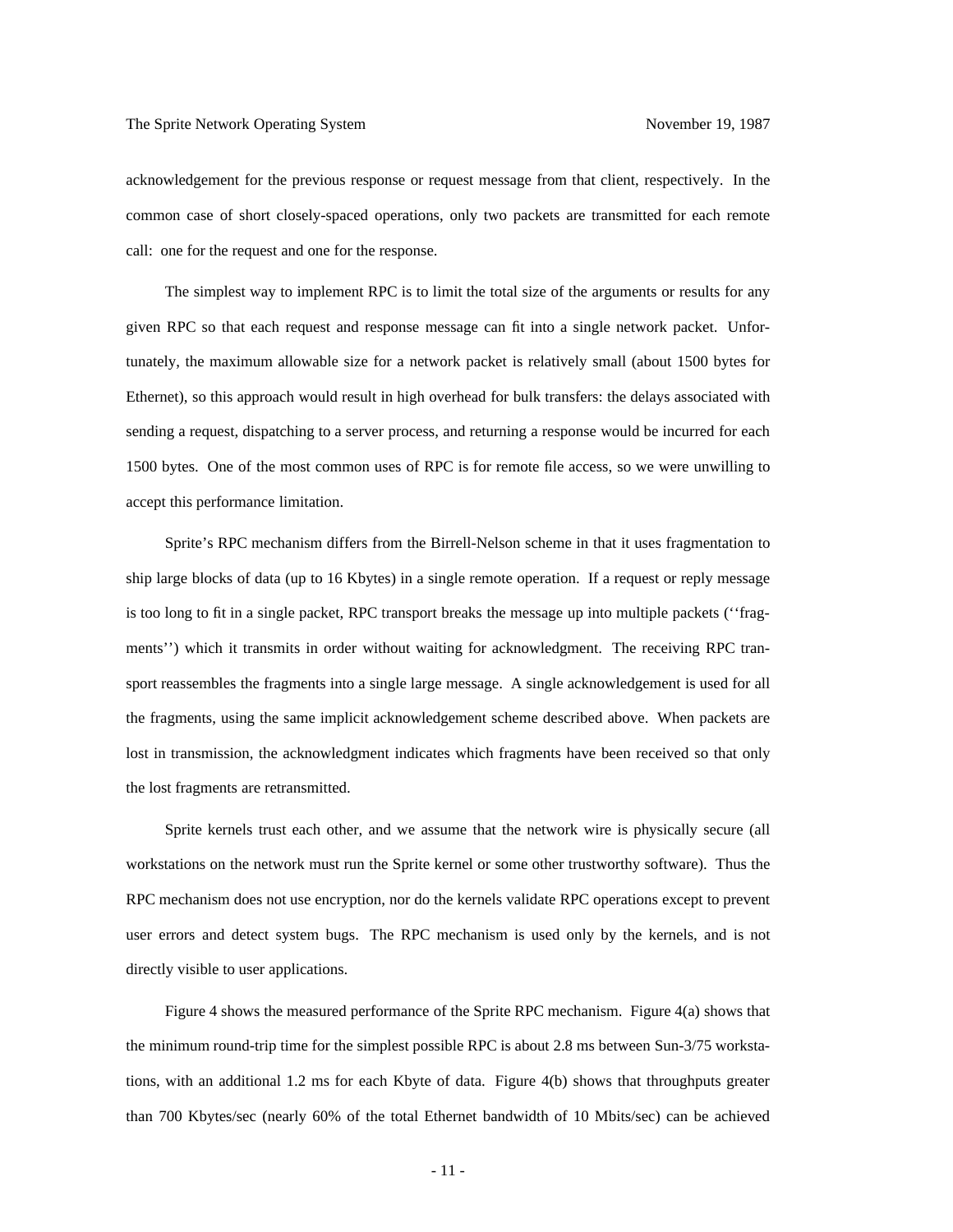acknowledgement for the previous response or request message from that client, respectively. In the common case of short closely-spaced operations, only two packets are transmitted for each remote call: one for the request and one for the response.

The simplest way to implement RPC is to limit the total size of the arguments or results for any given RPC so that each request and response message can fit into a single network packet. Unfortunately, the maximum allowable size for a network packet is relatively small (about 1500 bytes for Ethernet), so this approach would result in high overhead for bulk transfers: the delays associated with sending a request, dispatching to a server process, and returning a response would be incurred for each 1500 bytes. One of the most common uses of RPC is for remote file access, so we were unwilling to accept this performance limitation.

Sprite's RPC mechanism differs from the Birrell-Nelson scheme in that it uses fragmentation to ship large blocks of data (up to 16 Kbytes) in a single remote operation. If a request or reply message is too long to fit in a single packet, RPC transport breaks the message up into multiple packets (''fragments'') which it transmits in order without waiting for acknowledgment. The receiving RPC transport reassembles the fragments into a single large message. A single acknowledgement is used for all the fragments, using the same implicit acknowledgement scheme described above. When packets are lost in transmission, the acknowledgment indicates which fragments have been received so that only the lost fragments are retransmitted.

Sprite kernels trust each other, and we assume that the network wire is physically secure (all workstations on the network must run the Sprite kernel or some other trustworthy software). Thus the RPC mechanism does not use encryption, nor do the kernels validate RPC operations except to prevent user errors and detect system bugs. The RPC mechanism is used only by the kernels, and is not directly visible to user applications.

Figure 4 shows the measured performance of the Sprite RPC mechanism. Figure 4(a) shows that the minimum round-trip time for the simplest possible RPC is about 2.8 ms between Sun-3/75 workstations, with an additional 1.2 ms for each Kbyte of data. Figure 4(b) shows that throughputs greater than 700 Kbytes/sec (nearly 60% of the total Ethernet bandwidth of 10 Mbits/sec) can be achieved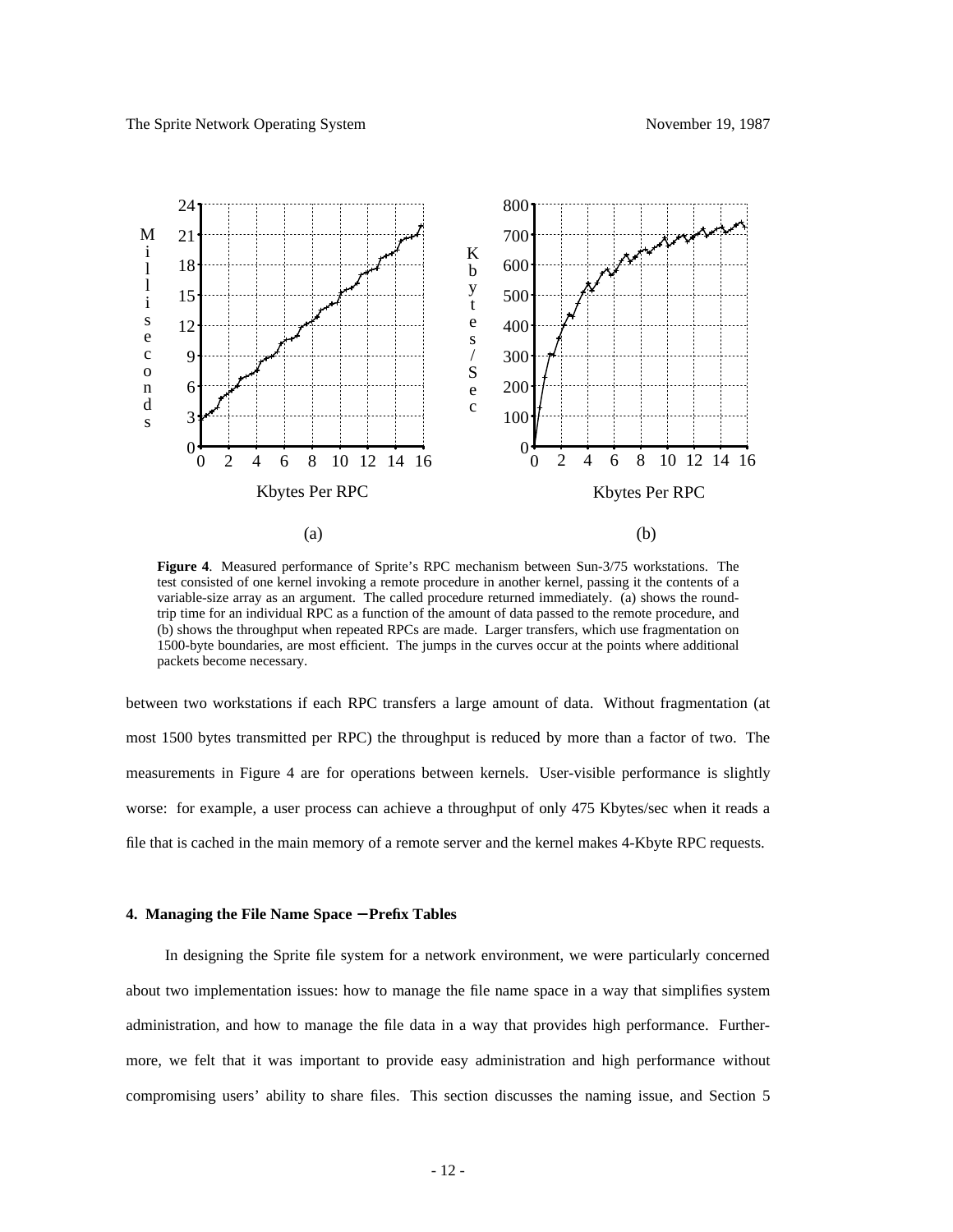

**Figure 4**. Measured performance of Sprite's RPC mechanism between Sun-3/75 workstations. The test consisted of one kernel invoking a remote procedure in another kernel, passing it the contents of a variable-size array as an argument. The called procedure returned immediately. (a) shows the roundtrip time for an individual RPC as a function of the amount of data passed to the remote procedure, and (b) shows the throughput when repeated RPCs are made. Larger transfers, which use fragmentation on 1500-byte boundaries, are most efficient. The jumps in the curves occur at the points where additional packets become necessary.

between two workstations if each RPC transfers a large amount of data. Without fragmentation (at most 1500 bytes transmitted per RPC) the throughput is reduced by more than a factor of two. The measurements in Figure 4 are for operations between kernels. User-visible performance is slightly worse: for example, a user process can achieve a throughput of only 475 Kbytes/sec when it reads a file that is cached in the main memory of a remote server and the kernel makes 4-Kbyte RPC requests.

# **4. Managing the File Name Space** − **Prefix Tables**

In designing the Sprite file system for a network environment, we were particularly concerned about two implementation issues: how to manage the file name space in a way that simplifies system administration, and how to manage the file data in a way that provides high performance. Furthermore, we felt that it was important to provide easy administration and high performance without compromising users' ability to share files. This section discusses the naming issue, and Section 5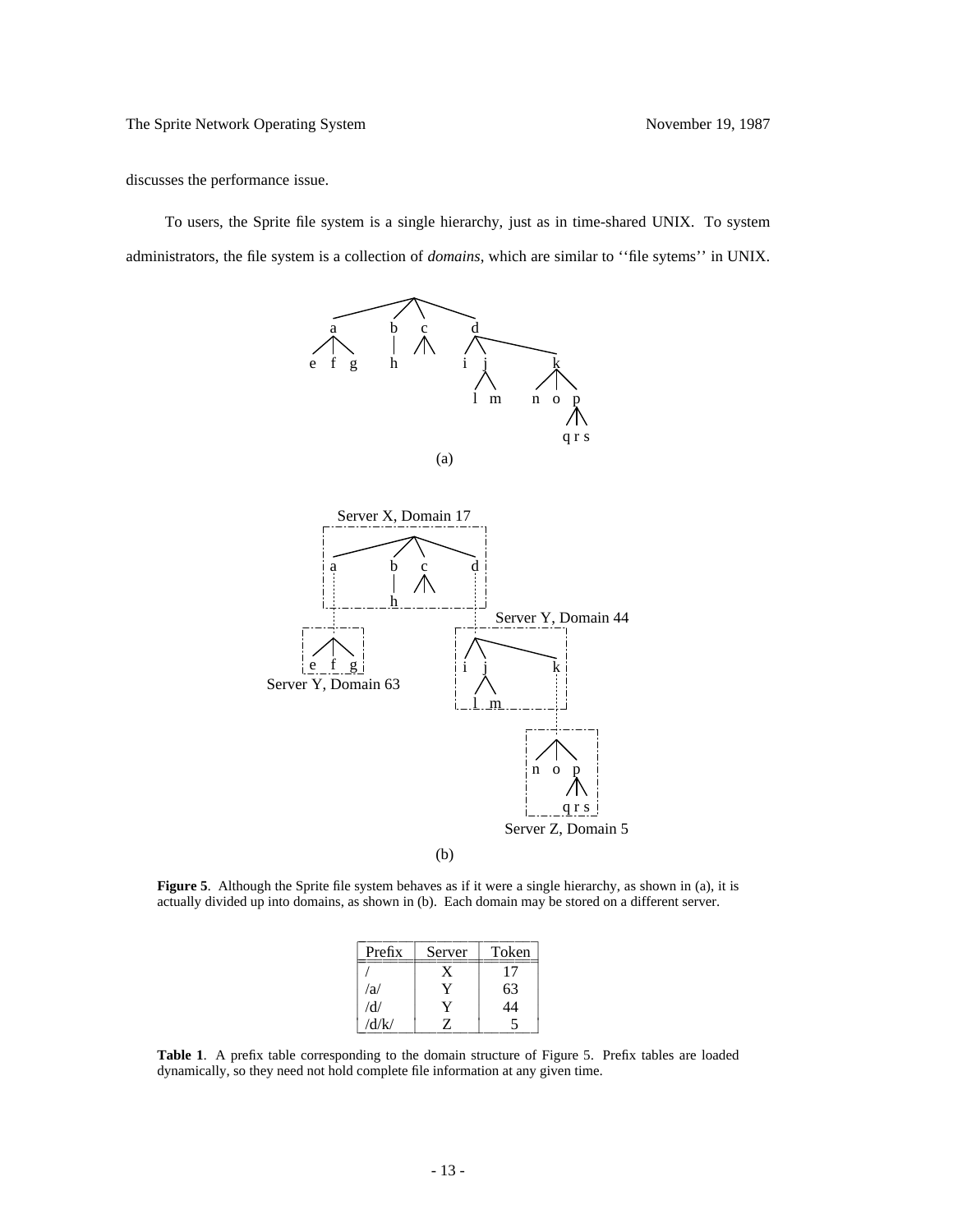discusses the performance issue.

To users, the Sprite file system is a single hierarchy, just as in time-shared UNIX. To system administrators, the file system is a collection of *domains*, which are similar to ''file sytems'' in UNIX.



**Figure 5**. Although the Sprite file system behaves as if it were a single hierarchy, as shown in (a), it is actually divided up into domains, as shown in (b). Each domain may be stored on a different server.

| Prefix     | Server                    | Token |
|------------|---------------------------|-------|
|            | X                         | 17    |
| /a         |                           | 63    |
| /d/        |                           | 44    |
| $\rm d/k/$ | $\mathcal{I}_\mathcal{L}$ |       |

**Table 1**. A prefix table corresponding to the domain structure of Figure 5. Prefix tables are loaded dynamically, so they need not hold complete file information at any given time.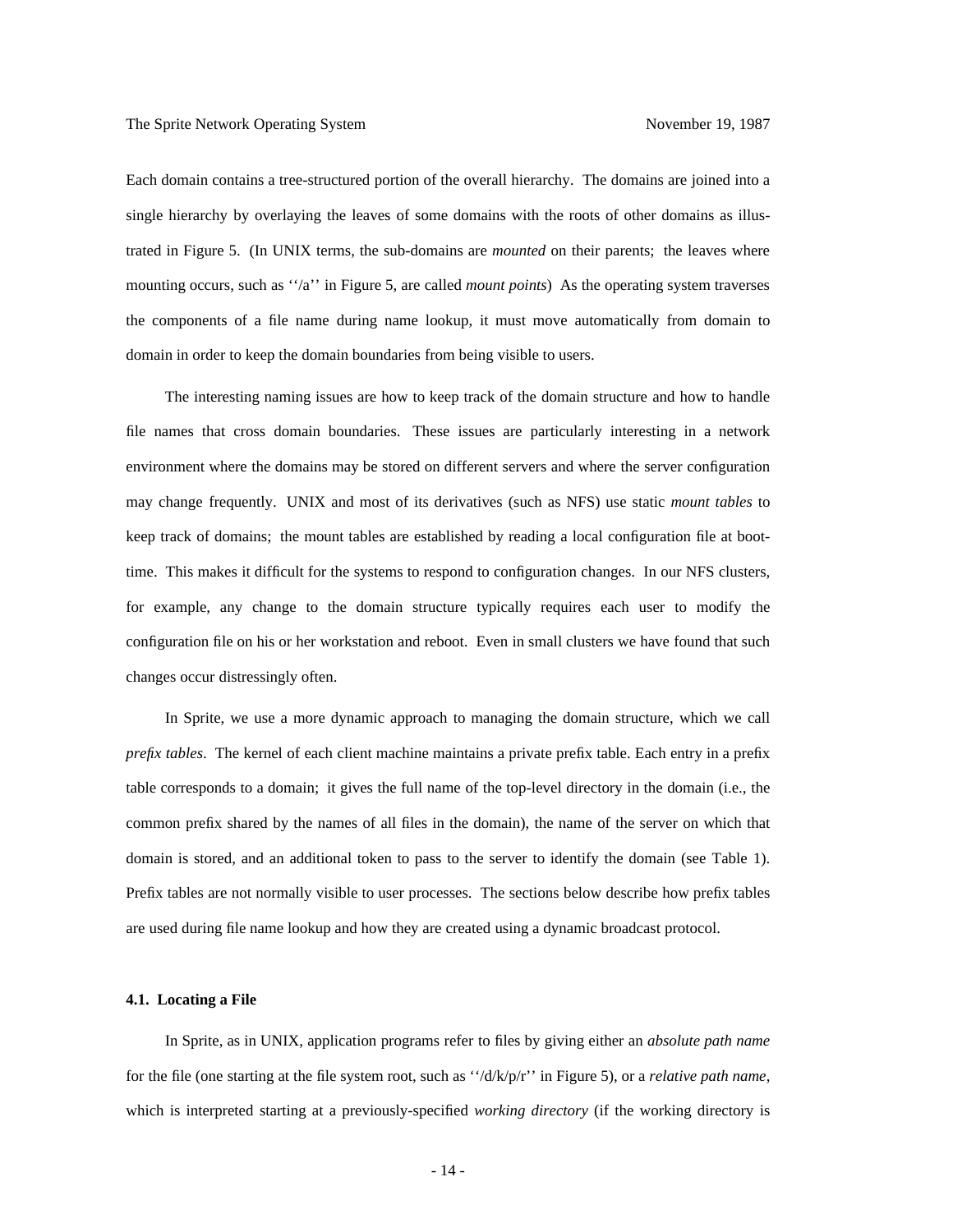Each domain contains a tree-structured portion of the overall hierarchy. The domains are joined into a single hierarchy by overlaying the leaves of some domains with the roots of other domains as illustrated in Figure 5. (In UNIX terms, the sub-domains are *mounted* on their parents; the leaves where mounting occurs, such as ''/a'' in Figure 5, are called *mount points*) As the operating system traverses the components of a file name during name lookup, it must move automatically from domain to domain in order to keep the domain boundaries from being visible to users.

The interesting naming issues are how to keep track of the domain structure and how to handle file names that cross domain boundaries. These issues are particularly interesting in a network environment where the domains may be stored on different servers and where the server configuration may change frequently. UNIX and most of its derivatives (such as NFS) use static *mount tables* to keep track of domains; the mount tables are established by reading a local configuration file at boottime. This makes it difficult for the systems to respond to configuration changes. In our NFS clusters, for example, any change to the domain structure typically requires each user to modify the configuration file on his or her workstation and reboot. Even in small clusters we have found that such changes occur distressingly often.

In Sprite, we use a more dynamic approach to managing the domain structure, which we call *prefix tables*. The kernel of each client machine maintains a private prefix table. Each entry in a prefix table corresponds to a domain; it gives the full name of the top-level directory in the domain (i.e., the common prefix shared by the names of all files in the domain), the name of the server on which that domain is stored, and an additional token to pass to the server to identify the domain (see Table 1). Prefix tables are not normally visible to user processes. The sections below describe how prefix tables are used during file name lookup and how they are created using a dynamic broadcast protocol.

## **4.1. Locating a File**

In Sprite, as in UNIX, application programs refer to files by giving either an *absolute path name* for the file (one starting at the file system root, such as ''/d/k/p/r'' in Figure 5), or a *relative path name*, which is interpreted starting at a previously-specified *working directory* (if the working directory is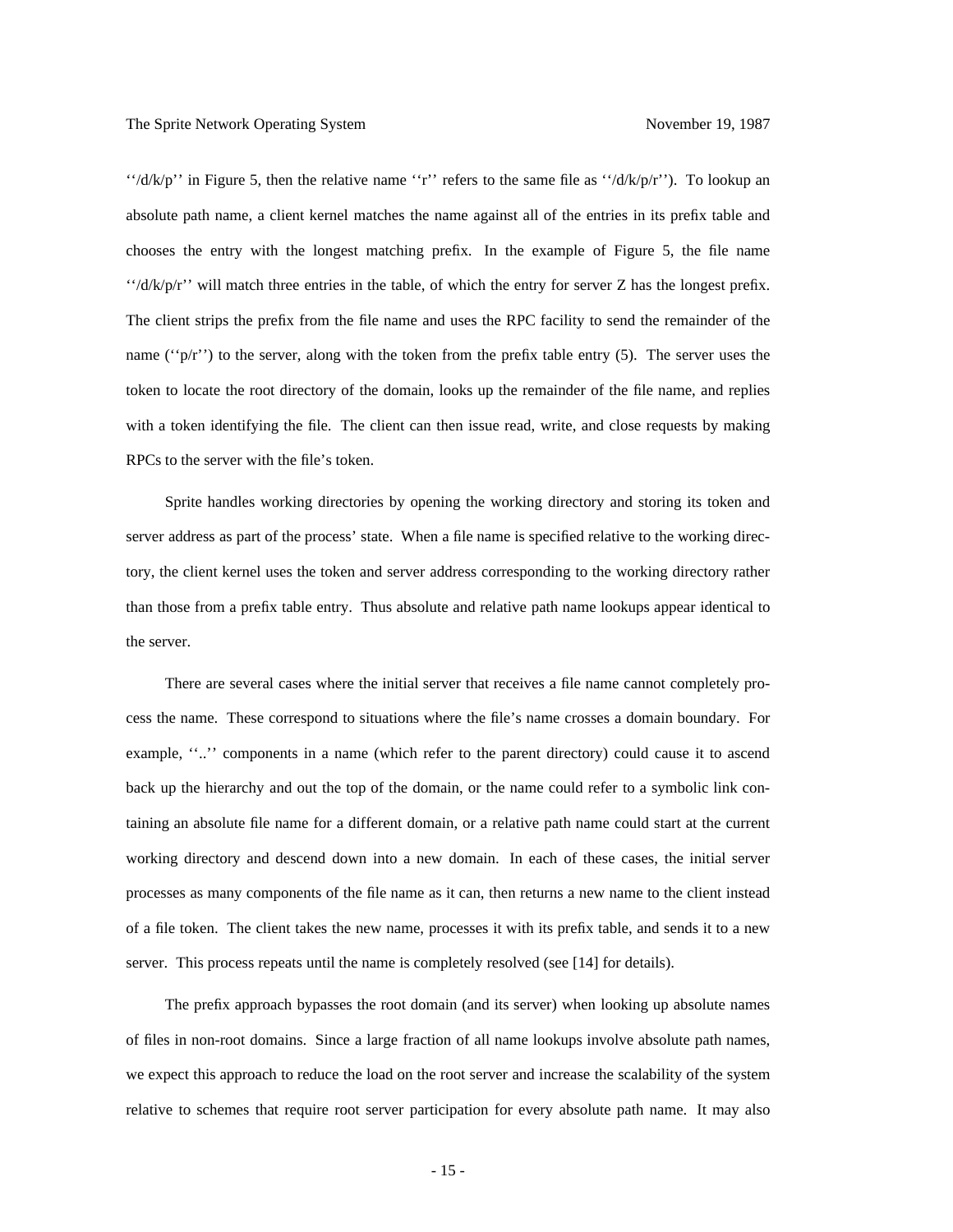''/d/k/p'' in Figure 5, then the relative name ''r'' refers to the same file as ''/d/k/p/r''). To lookup an absolute path name, a client kernel matches the name against all of the entries in its prefix table and chooses the entry with the longest matching prefix. In the example of Figure 5, the file name  $\frac{d}{dx}/\frac{d}{k}$  will match three entries in the table, of which the entry for server Z has the longest prefix. The client strips the prefix from the file name and uses the RPC facility to send the remainder of the name ( $\lq{p/r'}$ ) to the server, along with the token from the prefix table entry (5). The server uses the token to locate the root directory of the domain, looks up the remainder of the file name, and replies with a token identifying the file. The client can then issue read, write, and close requests by making RPCs to the server with the file's token.

Sprite handles working directories by opening the working directory and storing its token and server address as part of the process' state. When a file name is specified relative to the working directory, the client kernel uses the token and server address corresponding to the working directory rather than those from a prefix table entry. Thus absolute and relative path name lookups appear identical to the server.

There are several cases where the initial server that receives a file name cannot completely process the name. These correspond to situations where the file's name crosses a domain boundary. For example, "..." components in a name (which refer to the parent directory) could cause it to ascend back up the hierarchy and out the top of the domain, or the name could refer to a symbolic link containing an absolute file name for a different domain, or a relative path name could start at the current working directory and descend down into a new domain. In each of these cases, the initial server processes as many components of the file name as it can, then returns a new name to the client instead of a file token. The client takes the new name, processes it with its prefix table, and sends it to a new server. This process repeats until the name is completely resolved (see [14] for details).

The prefix approach bypasses the root domain (and its server) when looking up absolute names of files in non-root domains. Since a large fraction of all name lookups involve absolute path names, we expect this approach to reduce the load on the root server and increase the scalability of the system relative to schemes that require root server participation for every absolute path name. It may also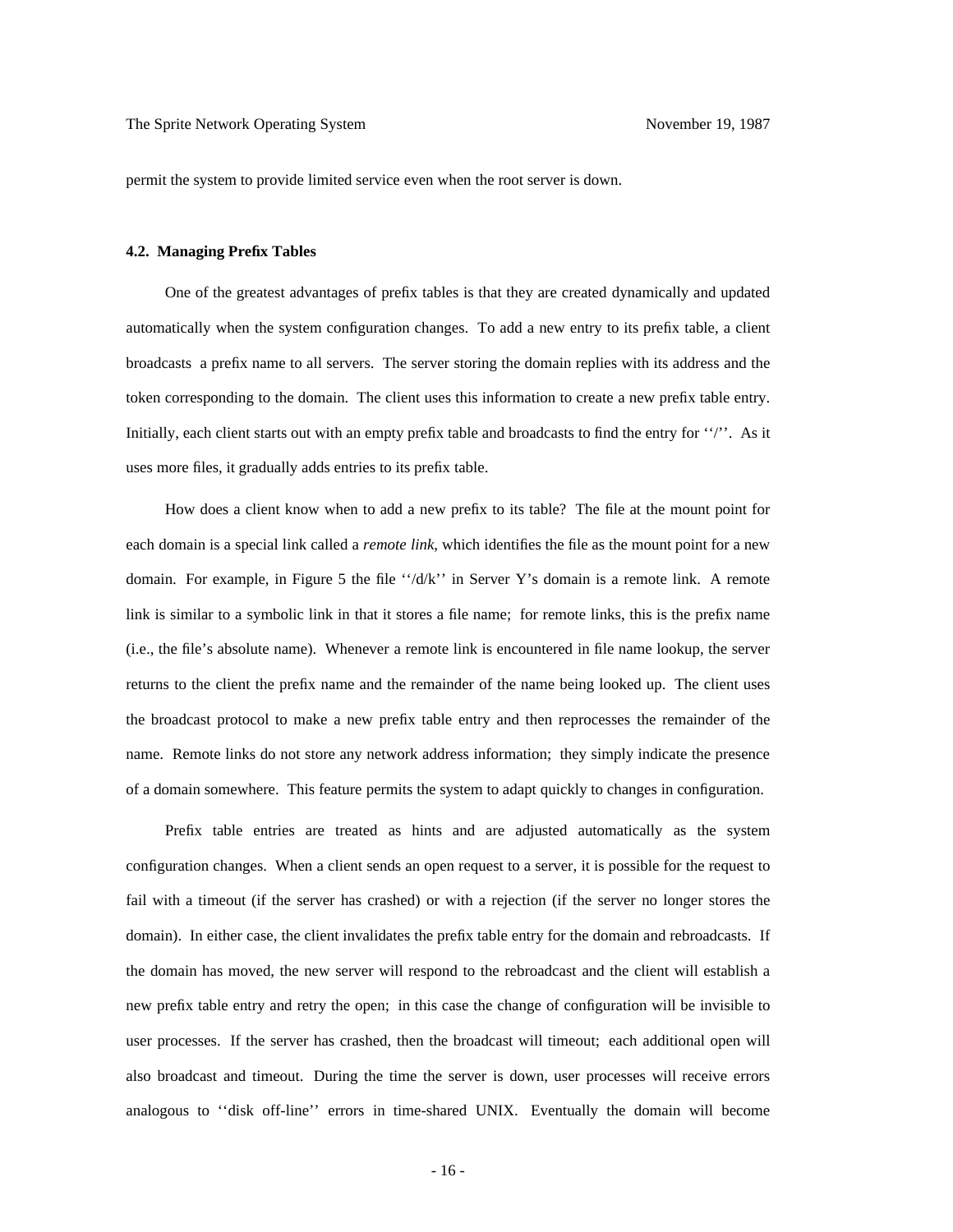permit the system to provide limited service even when the root server is down.

#### **4.2. Managing Prefix Tables**

One of the greatest advantages of prefix tables is that they are created dynamically and updated automatically when the system configuration changes. To add a new entry to its prefix table, a client broadcasts a prefix name to all servers. The server storing the domain replies with its address and the token corresponding to the domain. The client uses this information to create a new prefix table entry. Initially, each client starts out with an empty prefix table and broadcasts to find the entry for ''/''. As it uses more files, it gradually adds entries to its prefix table.

How does a client know when to add a new prefix to its table? The file at the mount point for each domain is a special link called a *remote link*, which identifies the file as the mount point for a new domain. For example, in Figure 5 the file "/d/k'' in Server Y's domain is a remote link. A remote link is similar to a symbolic link in that it stores a file name; for remote links, this is the prefix name (i.e., the file's absolute name). Whenever a remote link is encountered in file name lookup, the server returns to the client the prefix name and the remainder of the name being looked up. The client uses the broadcast protocol to make a new prefix table entry and then reprocesses the remainder of the name. Remote links do not store any network address information; they simply indicate the presence of a domain somewhere. This feature permits the system to adapt quickly to changes in configuration.

Prefix table entries are treated as hints and are adjusted automatically as the system configuration changes. When a client sends an open request to a server, it is possible for the request to fail with a timeout (if the server has crashed) or with a rejection (if the server no longer stores the domain). In either case, the client invalidates the prefix table entry for the domain and rebroadcasts. If the domain has moved, the new server will respond to the rebroadcast and the client will establish a new prefix table entry and retry the open; in this case the change of configuration will be invisible to user processes. If the server has crashed, then the broadcast will timeout; each additional open will also broadcast and timeout. During the time the server is down, user processes will receive errors analogous to ''disk off-line'' errors in time-shared UNIX. Eventually the domain will become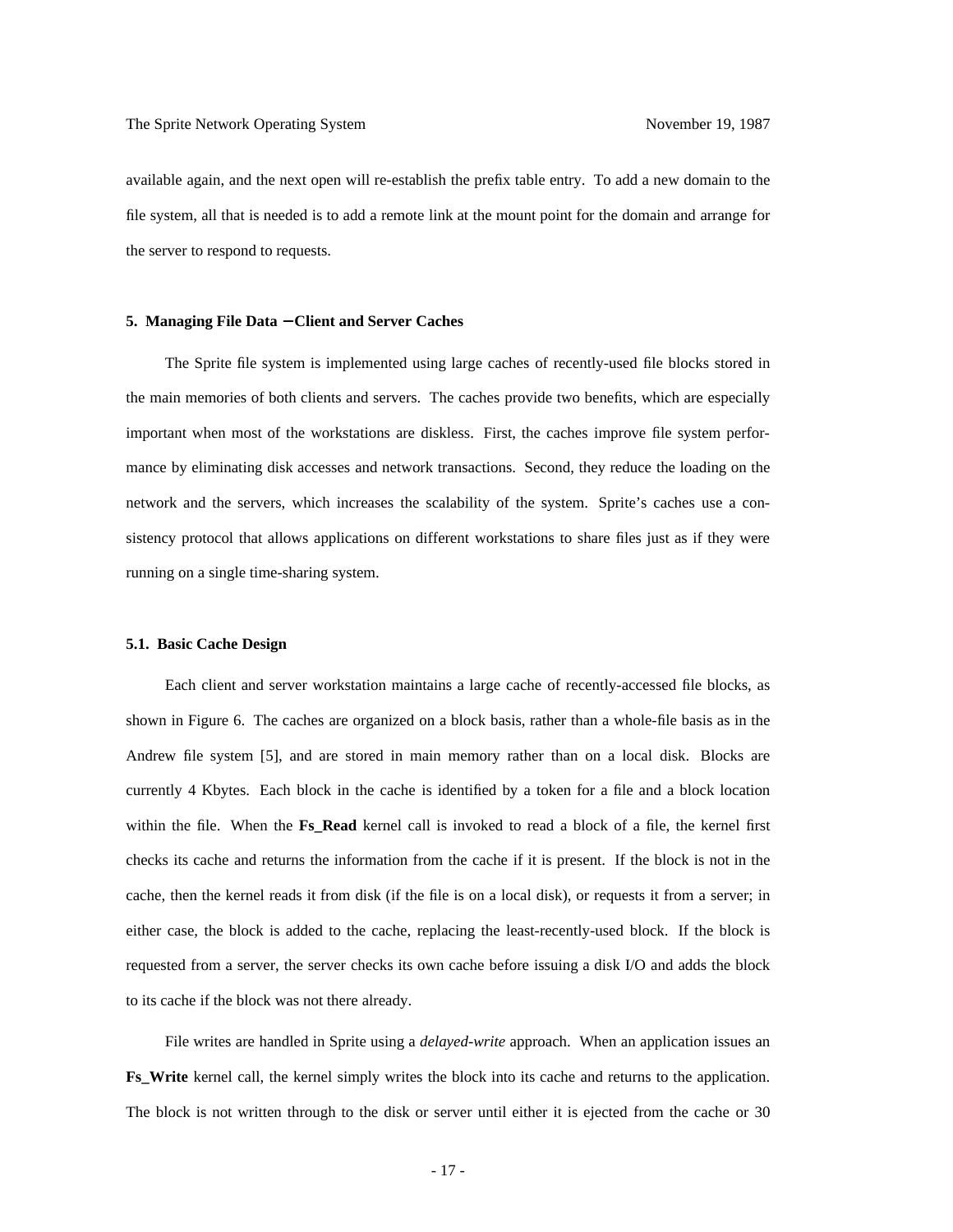available again, and the next open will re-establish the prefix table entry. To add a new domain to the file system, all that is needed is to add a remote link at the mount point for the domain and arrange for the server to respond to requests.

# **5. Managing File Data** − **Client and Server Caches**

The Sprite file system is implemented using large caches of recently-used file blocks stored in the main memories of both clients and servers. The caches provide two benefits, which are especially important when most of the workstations are diskless. First, the caches improve file system performance by eliminating disk accesses and network transactions. Second, they reduce the loading on the network and the servers, which increases the scalability of the system. Sprite's caches use a consistency protocol that allows applications on different workstations to share files just as if they were running on a single time-sharing system.

#### **5.1. Basic Cache Design**

Each client and server workstation maintains a large cache of recently-accessed file blocks, as shown in Figure 6. The caches are organized on a block basis, rather than a whole-file basis as in the Andrew file system [5], and are stored in main memory rather than on a local disk. Blocks are currently 4 Kbytes. Each block in the cache is identified by a token for a file and a block location within the file. When the **Fs Read** kernel call is invoked to read a block of a file, the kernel first checks its cache and returns the information from the cache if it is present. If the block is not in the cache, then the kernel reads it from disk (if the file is on a local disk), or requests it from a server; in either case, the block is added to the cache, replacing the least-recently-used block. If the block is requested from a server, the server checks its own cache before issuing a disk I/O and adds the block to its cache if the block was not there already.

File writes are handled in Sprite using a *delayed-write* approach. When an application issues an **Fs\_Write** kernel call, the kernel simply writes the block into its cache and returns to the application. The block is not written through to the disk or server until either it is ejected from the cache or 30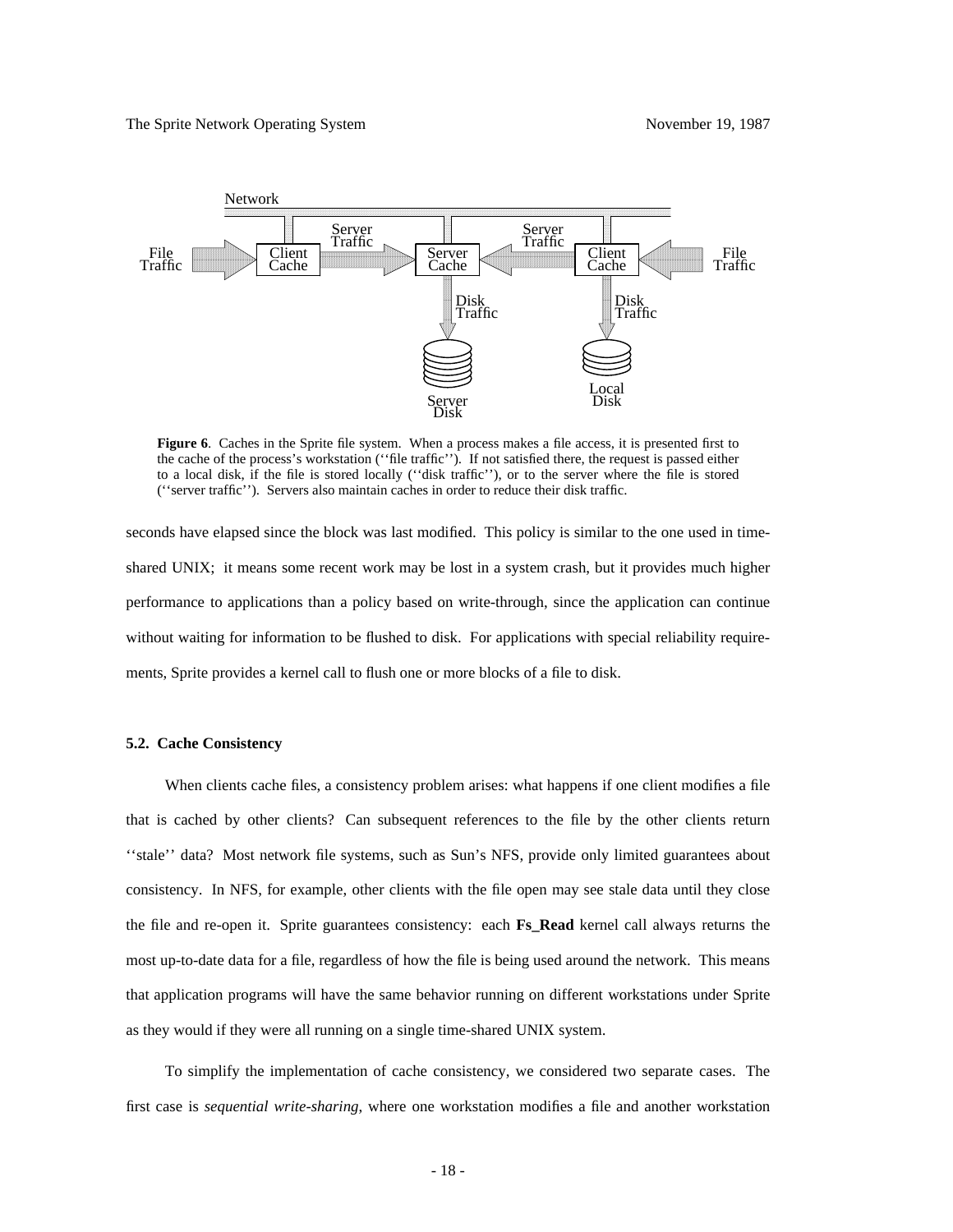

Figure 6. Caches in the Sprite file system. When a process makes a file access, it is presented first to the cache of the process's workstation (''file traffic''). If not satisfied there, the request is passed either to a local disk, if the file is stored locally (''disk traffic''), or to the server where the file is stored (''server traffic''). Servers also maintain caches in order to reduce their disk traffic.

seconds have elapsed since the block was last modified. This policy is similar to the one used in timeshared UNIX; it means some recent work may be lost in a system crash, but it provides much higher performance to applications than a policy based on write-through, since the application can continue without waiting for information to be flushed to disk. For applications with special reliability requirements, Sprite provides a kernel call to flush one or more blocks of a file to disk.

# **5.2. Cache Consistency**

When clients cache files, a consistency problem arises: what happens if one client modifies a file that is cached by other clients? Can subsequent references to the file by the other clients return ''stale'' data? Most network file systems, such as Sun's NFS, provide only limited guarantees about consistency. In NFS, for example, other clients with the file open may see stale data until they close the file and re-open it. Sprite guarantees consistency: each **Fs\_Read** kernel call always returns the most up-to-date data for a file, regardless of how the file is being used around the network. This means that application programs will have the same behavior running on different workstations under Sprite as they would if they were all running on a single time-shared UNIX system.

To simplify the implementation of cache consistency, we considered two separate cases. The first case is *sequential write-sharing*, where one workstation modifies a file and another workstation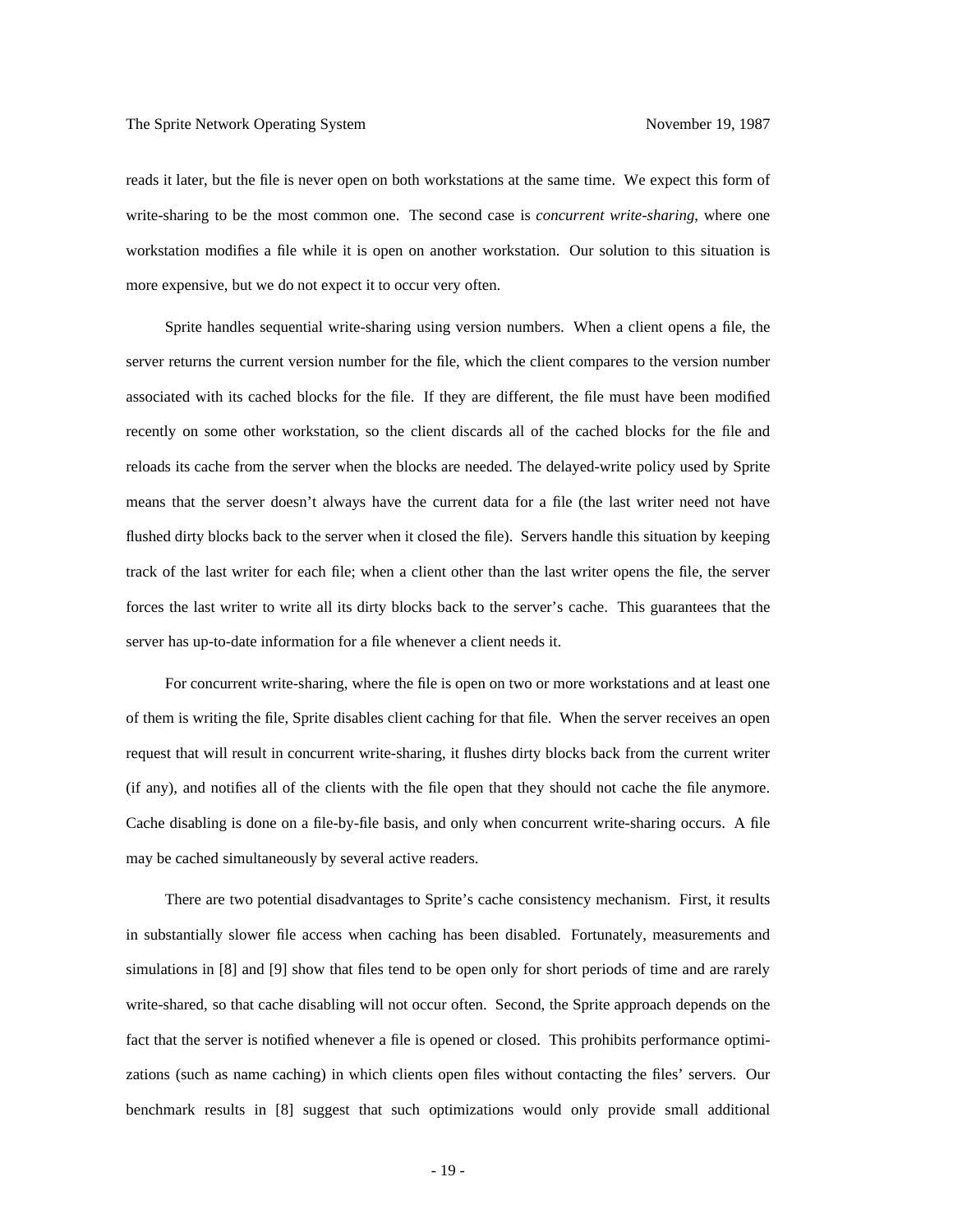reads it later, but the file is never open on both workstations at the same time. We expect this form of write-sharing to be the most common one. The second case is *concurrent write-sharing*, where one workstation modifies a file while it is open on another workstation. Our solution to this situation is more expensive, but we do not expect it to occur very often.

Sprite handles sequential write-sharing using version numbers. When a client opens a file, the server returns the current version number for the file, which the client compares to the version number associated with its cached blocks for the file. If they are different, the file must have been modified recently on some other workstation, so the client discards all of the cached blocks for the file and reloads its cache from the server when the blocks are needed. The delayed-write policy used by Sprite means that the server doesn't always have the current data for a file (the last writer need not have flushed dirty blocks back to the server when it closed the file). Servers handle this situation by keeping track of the last writer for each file; when a client other than the last writer opens the file, the server forces the last writer to write all its dirty blocks back to the server's cache. This guarantees that the server has up-to-date information for a file whenever a client needs it.

For concurrent write-sharing, where the file is open on two or more workstations and at least one of them is writing the file, Sprite disables client caching for that file. When the server receives an open request that will result in concurrent write-sharing, it flushes dirty blocks back from the current writer (if any), and notifies all of the clients with the file open that they should not cache the file anymore. Cache disabling is done on a file-by-file basis, and only when concurrent write-sharing occurs. A file may be cached simultaneously by several active readers.

There are two potential disadvantages to Sprite's cache consistency mechanism. First, it results in substantially slower file access when caching has been disabled. Fortunately, measurements and simulations in [8] and [9] show that files tend to be open only for short periods of time and are rarely write-shared, so that cache disabling will not occur often. Second, the Sprite approach depends on the fact that the server is notified whenever a file is opened or closed. This prohibits performance optimizations (such as name caching) in which clients open files without contacting the files' servers. Our benchmark results in [8] suggest that such optimizations would only provide small additional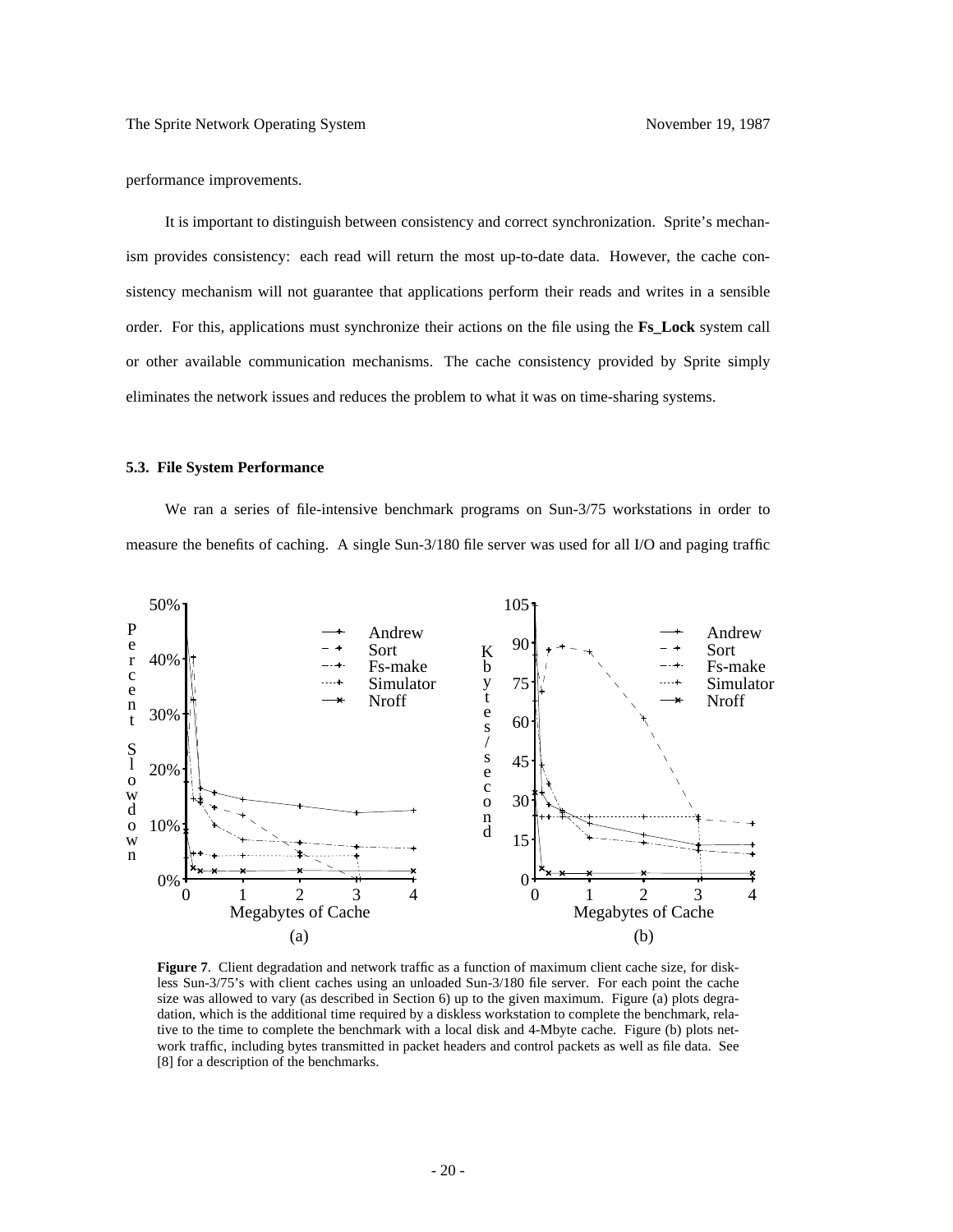performance improvements.

It is important to distinguish between consistency and correct synchronization. Sprite's mechanism provides consistency: each read will return the most up-to-date data. However, the cache consistency mechanism will not guarantee that applications perform their reads and writes in a sensible order. For this, applications must synchronize their actions on the file using the **Fs\_Lock** system call or other available communication mechanisms. The cache consistency provided by Sprite simply eliminates the network issues and reduces the problem to what it was on time-sharing systems.

# **5.3. File System Performance**

We ran a series of file-intensive benchmark programs on Sun-3/75 workstations in order to measure the benefits of caching. A single Sun-3/180 file server was used for all I/O and paging traffic



**Figure 7**. Client degradation and network traffic as a function of maximum client cache size, for diskless Sun-3/75's with client caches using an unloaded Sun-3/180 file server. For each point the cache size was allowed to vary (as described in Section 6) up to the given maximum. Figure (a) plots degradation, which is the additional time required by a diskless workstation to complete the benchmark, relative to the time to complete the benchmark with a local disk and 4-Mbyte cache. Figure (b) plots network traffic, including bytes transmitted in packet headers and control packets as well as file data. See [8] for a description of the benchmarks.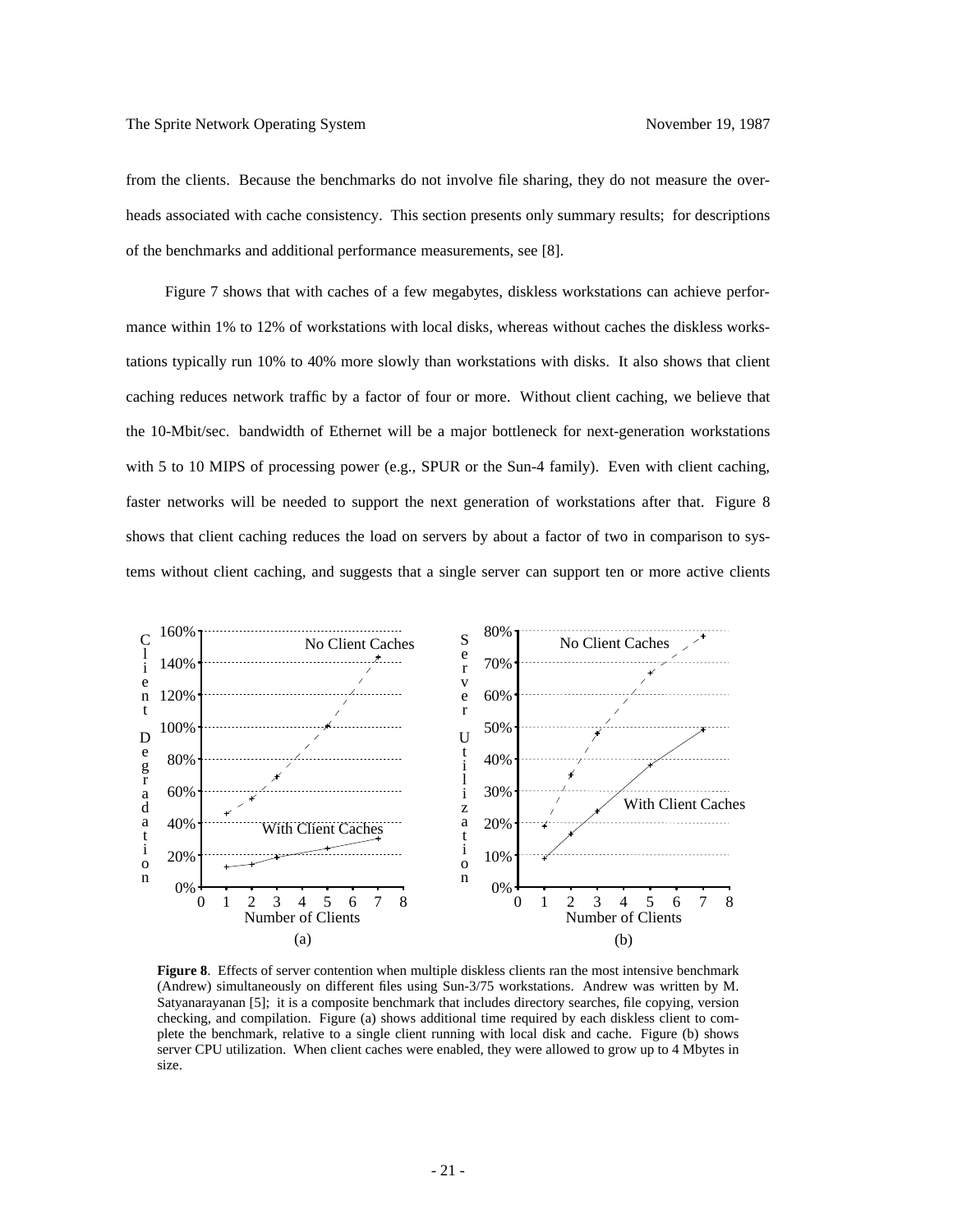from the clients. Because the benchmarks do not involve file sharing, they do not measure the overheads associated with cache consistency. This section presents only summary results; for descriptions of the benchmarks and additional performance measurements, see [8].

Figure 7 shows that with caches of a few megabytes, diskless workstations can achieve performance within 1% to 12% of workstations with local disks, whereas without caches the diskless workstations typically run 10% to 40% more slowly than workstations with disks. It also shows that client caching reduces network traffic by a factor of four or more. Without client caching, we believe that the 10-Mbit/sec. bandwidth of Ethernet will be a major bottleneck for next-generation workstations with 5 to 10 MIPS of processing power (e.g., SPUR or the Sun-4 family). Even with client caching, faster networks will be needed to support the next generation of workstations after that. Figure 8 shows that client caching reduces the load on servers by about a factor of two in comparison to systems without client caching, and suggests that a single server can support ten or more active clients



**Figure 8**. Effects of server contention when multiple diskless clients ran the most intensive benchmark (Andrew) simultaneously on different files using Sun-3/75 workstations. Andrew was written by M. Satyanarayanan [5]; it is a composite benchmark that includes directory searches, file copying, version checking, and compilation. Figure (a) shows additional time required by each diskless client to complete the benchmark, relative to a single client running with local disk and cache. Figure (b) shows server CPU utilization. When client caches were enabled, they were allowed to grow up to 4 Mbytes in size.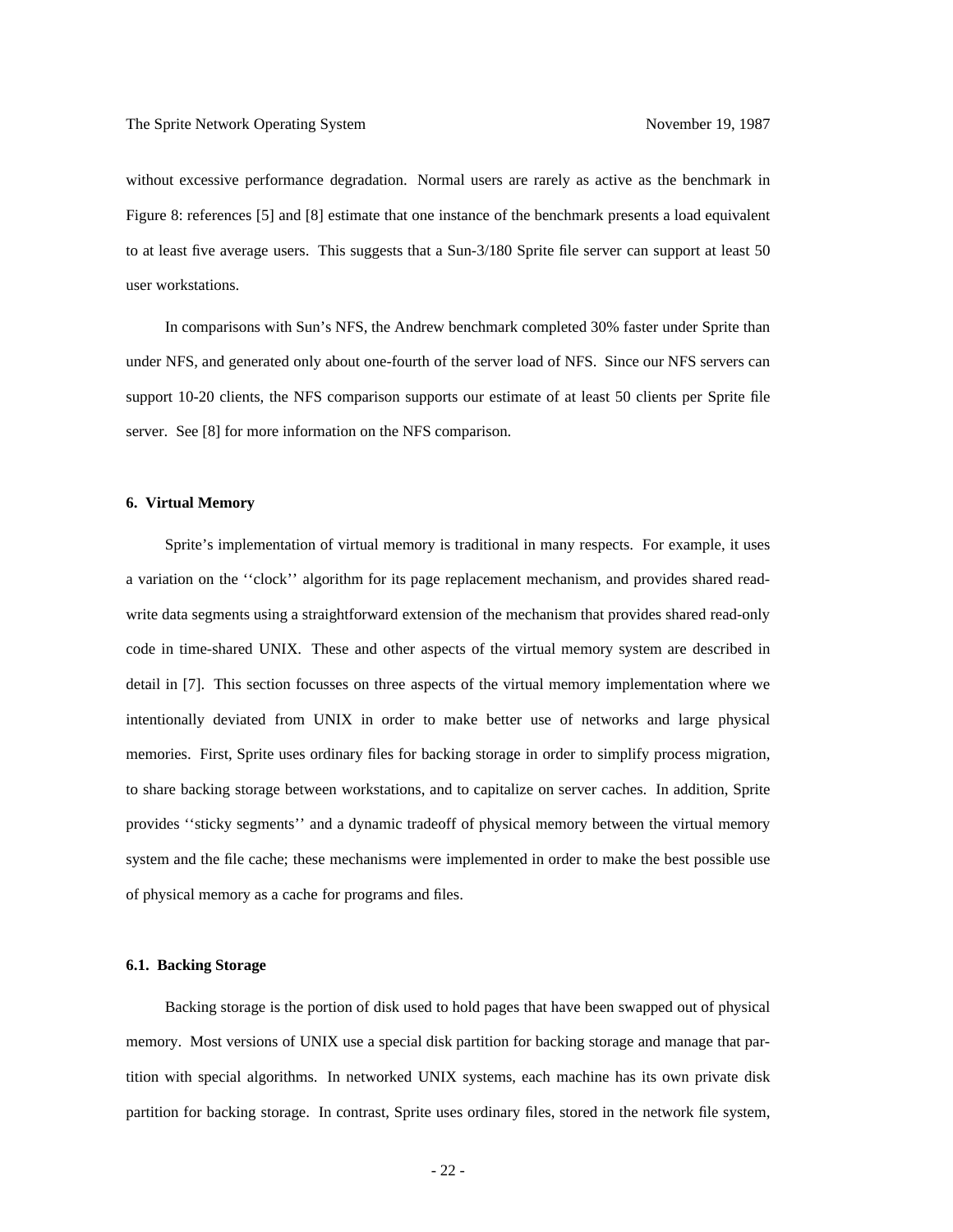without excessive performance degradation. Normal users are rarely as active as the benchmark in Figure 8: references [5] and [8] estimate that one instance of the benchmark presents a load equivalent to at least five average users. This suggests that a Sun-3/180 Sprite file server can support at least 50 user workstations.

In comparisons with Sun's NFS, the Andrew benchmark completed 30% faster under Sprite than under NFS, and generated only about one-fourth of the server load of NFS. Since our NFS servers can support 10-20 clients, the NFS comparison supports our estimate of at least 50 clients per Sprite file server. See [8] for more information on the NFS comparison.

# **6. Virtual Memory**

Sprite's implementation of virtual memory is traditional in many respects. For example, it uses a variation on the ''clock'' algorithm for its page replacement mechanism, and provides shared readwrite data segments using a straightforward extension of the mechanism that provides shared read-only code in time-shared UNIX. These and other aspects of the virtual memory system are described in detail in [7]. This section focusses on three aspects of the virtual memory implementation where we intentionally deviated from UNIX in order to make better use of networks and large physical memories. First, Sprite uses ordinary files for backing storage in order to simplify process migration, to share backing storage between workstations, and to capitalize on server caches. In addition, Sprite provides ''sticky segments'' and a dynamic tradeoff of physical memory between the virtual memory system and the file cache; these mechanisms were implemented in order to make the best possible use of physical memory as a cache for programs and files.

# **6.1. Backing Storage**

Backing storage is the portion of disk used to hold pages that have been swapped out of physical memory. Most versions of UNIX use a special disk partition for backing storage and manage that partition with special algorithms. In networked UNIX systems, each machine has its own private disk partition for backing storage. In contrast, Sprite uses ordinary files, stored in the network file system,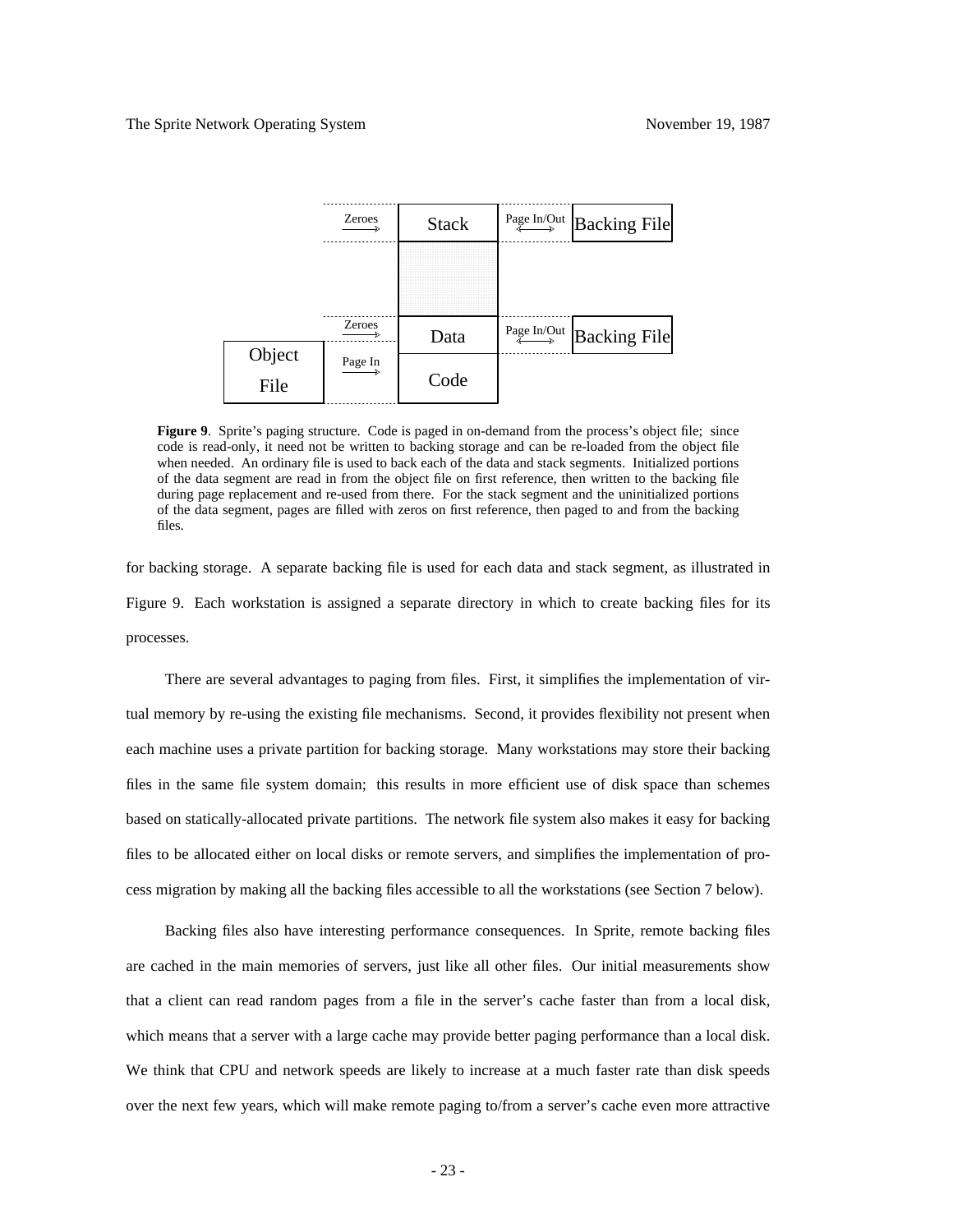

**Figure 9**. Sprite's paging structure. Code is paged in on-demand from the process's object file; since code is read-only, it need not be written to backing storage and can be re-loaded from the object file when needed. An ordinary file is used to back each of the data and stack segments. Initialized portions of the data segment are read in from the object file on first reference, then written to the backing file during page replacement and re-used from there. For the stack segment and the uninitialized portions of the data segment, pages are filled with zeros on first reference, then paged to and from the backing files.

for backing storage. A separate backing file is used for each data and stack segment, as illustrated in Figure 9. Each workstation is assigned a separate directory in which to create backing files for its processes.

There are several advantages to paging from files. First, it simplifies the implementation of virtual memory by re-using the existing file mechanisms. Second, it provides flexibility not present when each machine uses a private partition for backing storage. Many workstations may store their backing files in the same file system domain; this results in more efficient use of disk space than schemes based on statically-allocated private partitions. The network file system also makes it easy for backing files to be allocated either on local disks or remote servers, and simplifies the implementation of process migration by making all the backing files accessible to all the workstations (see Section 7 below).

Backing files also have interesting performance consequences. In Sprite, remote backing files are cached in the main memories of servers, just like all other files. Our initial measurements show that a client can read random pages from a file in the server's cache faster than from a local disk, which means that a server with a large cache may provide better paging performance than a local disk. We think that CPU and network speeds are likely to increase at a much faster rate than disk speeds over the next few years, which will make remote paging to/from a server's cache even more attractive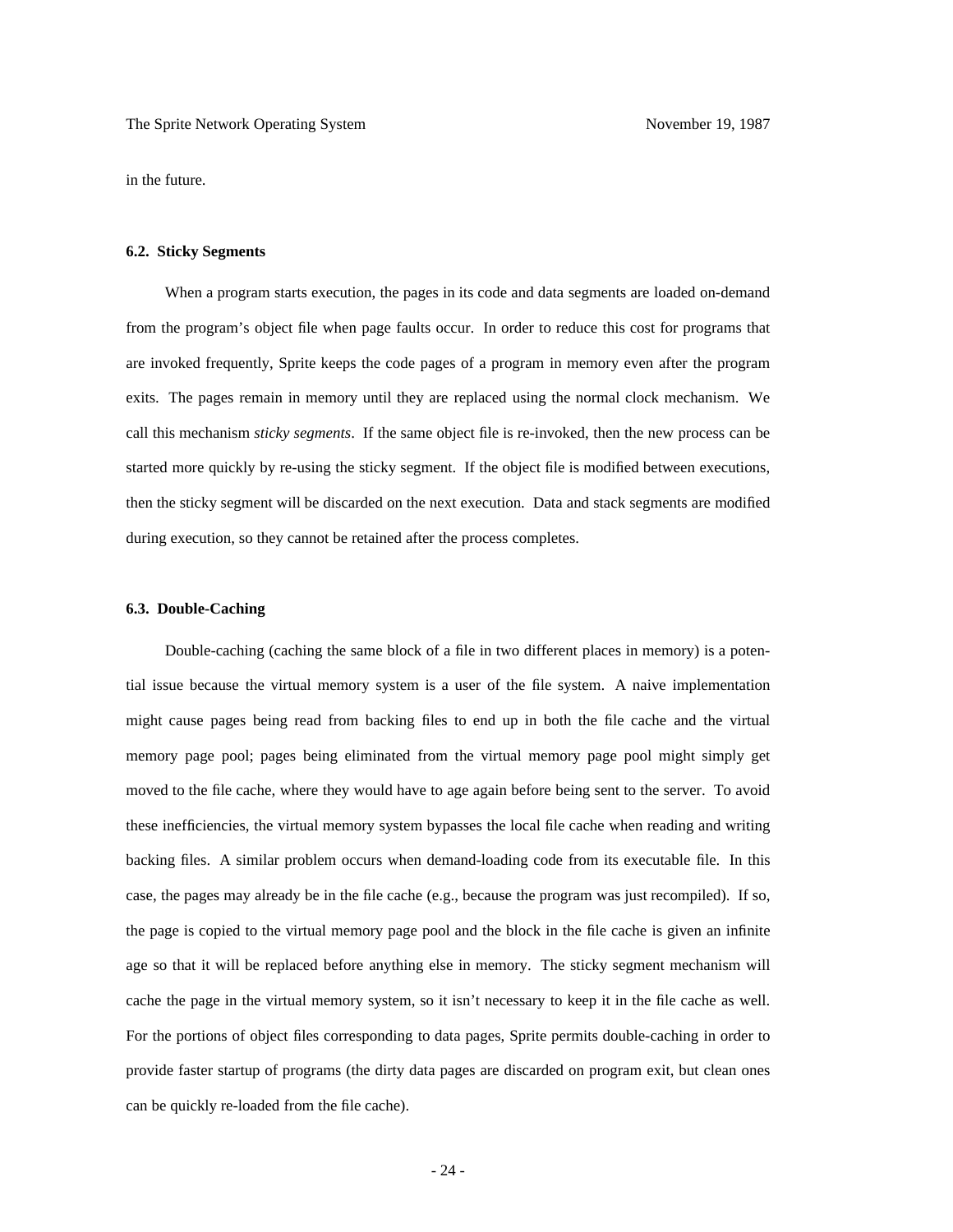in the future.

#### **6.2. Sticky Segments**

When a program starts execution, the pages in its code and data segments are loaded on-demand from the program's object file when page faults occur. In order to reduce this cost for programs that are invoked frequently, Sprite keeps the code pages of a program in memory even after the program exits. The pages remain in memory until they are replaced using the normal clock mechanism. We call this mechanism *sticky segments*. If the same object file is re-invoked, then the new process can be started more quickly by re-using the sticky segment. If the object file is modified between executions, then the sticky segment will be discarded on the next execution. Data and stack segments are modified during execution, so they cannot be retained after the process completes.

#### **6.3. Double-Caching**

Double-caching (caching the same block of a file in two different places in memory) is a potential issue because the virtual memory system is a user of the file system. A naive implementation might cause pages being read from backing files to end up in both the file cache and the virtual memory page pool; pages being eliminated from the virtual memory page pool might simply get moved to the file cache, where they would have to age again before being sent to the server. To avoid these inefficiencies, the virtual memory system bypasses the local file cache when reading and writing backing files. A similar problem occurs when demand-loading code from its executable file. In this case, the pages may already be in the file cache (e.g., because the program was just recompiled). If so, the page is copied to the virtual memory page pool and the block in the file cache is given an infinite age so that it will be replaced before anything else in memory. The sticky segment mechanism will cache the page in the virtual memory system, so it isn't necessary to keep it in the file cache as well. For the portions of object files corresponding to data pages, Sprite permits double-caching in order to provide faster startup of programs (the dirty data pages are discarded on program exit, but clean ones can be quickly re-loaded from the file cache).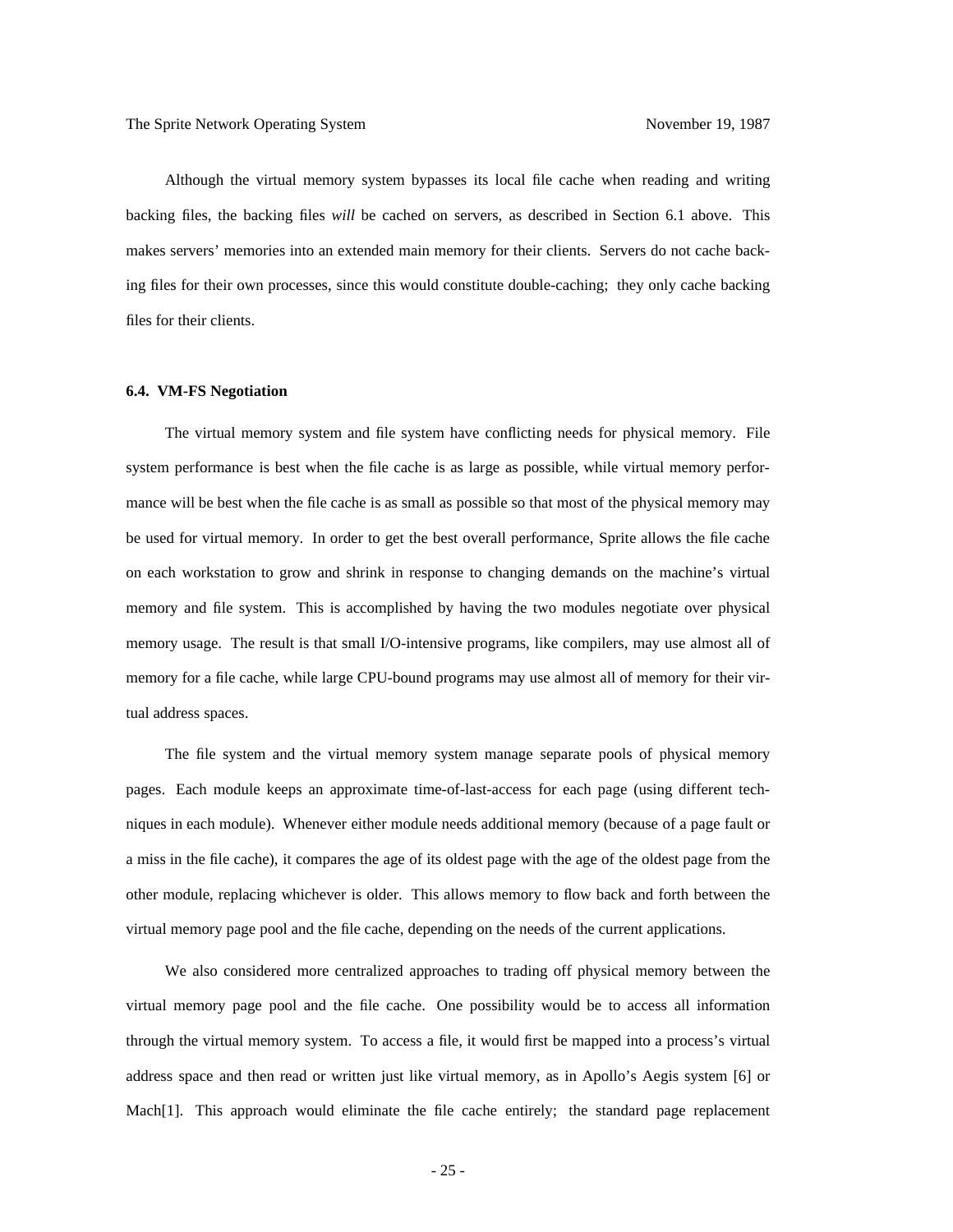Although the virtual memory system bypasses its local file cache when reading and writing backing files, the backing files *will* be cached on servers, as described in Section 6.1 above. This makes servers' memories into an extended main memory for their clients. Servers do not cache backing files for their own processes, since this would constitute double-caching; they only cache backing files for their clients.

#### **6.4. VM-FS Negotiation**

The virtual memory system and file system have conflicting needs for physical memory. File system performance is best when the file cache is as large as possible, while virtual memory performance will be best when the file cache is as small as possible so that most of the physical memory may be used for virtual memory. In order to get the best overall performance, Sprite allows the file cache on each workstation to grow and shrink in response to changing demands on the machine's virtual memory and file system. This is accomplished by having the two modules negotiate over physical memory usage. The result is that small I/O-intensive programs, like compilers, may use almost all of memory for a file cache, while large CPU-bound programs may use almost all of memory for their virtual address spaces.

The file system and the virtual memory system manage separate pools of physical memory pages. Each module keeps an approximate time-of-last-access for each page (using different techniques in each module). Whenever either module needs additional memory (because of a page fault or a miss in the file cache), it compares the age of its oldest page with the age of the oldest page from the other module, replacing whichever is older. This allows memory to flow back and forth between the virtual memory page pool and the file cache, depending on the needs of the current applications.

We also considered more centralized approaches to trading off physical memory between the virtual memory page pool and the file cache. One possibility would be to access all information through the virtual memory system. To access a file, it would first be mapped into a process's virtual address space and then read or written just like virtual memory, as in Apollo's Aegis system [6] or Mach[1]. This approach would eliminate the file cache entirely; the standard page replacement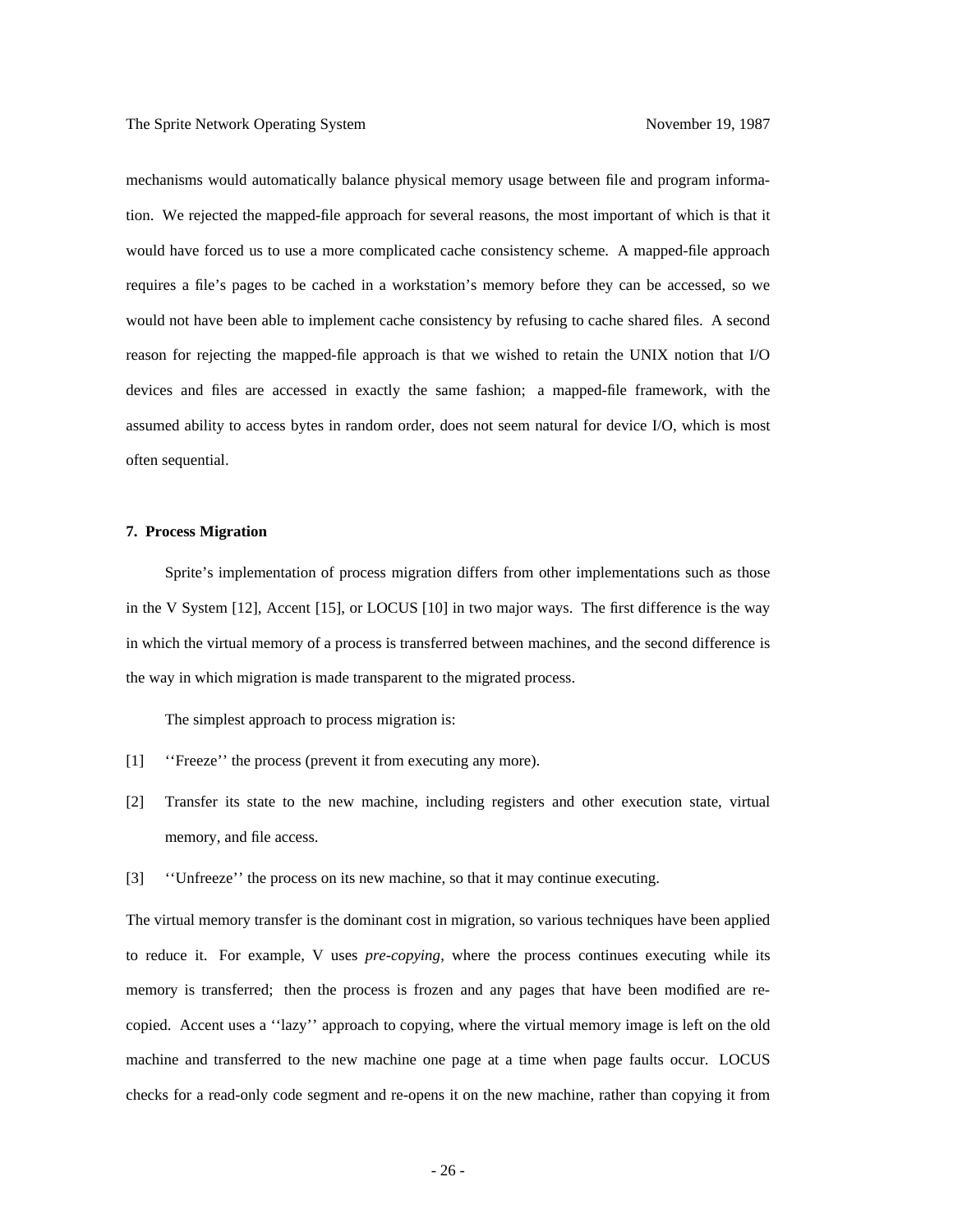mechanisms would automatically balance physical memory usage between file and program information. We rejected the mapped-file approach for several reasons, the most important of which is that it would have forced us to use a more complicated cache consistency scheme. A mapped-file approach requires a file's pages to be cached in a workstation's memory before they can be accessed, so we would not have been able to implement cache consistency by refusing to cache shared files. A second reason for rejecting the mapped-file approach is that we wished to retain the UNIX notion that I/O devices and files are accessed in exactly the same fashion; a mapped-file framework, with the assumed ability to access bytes in random order, does not seem natural for device I/O, which is most often sequential.

# **7. Process Migration**

Sprite's implementation of process migration differs from other implementations such as those in the V System [12], Accent [15], or LOCUS [10] in two major ways. The first difference is the way in which the virtual memory of a process is transferred between machines, and the second difference is the way in which migration is made transparent to the migrated process.

The simplest approach to process migration is:

- [1] ''Freeze'' the process (prevent it from executing any more).
- [2] Transfer its state to the new machine, including registers and other execution state, virtual memory, and file access.
- [3] ''Unfreeze'' the process on its new machine, so that it may continue executing.

The virtual memory transfer is the dominant cost in migration, so various techniques have been applied to reduce it. For example, V uses *pre-copying*, where the process continues executing while its memory is transferred; then the process is frozen and any pages that have been modified are recopied. Accent uses a ''lazy'' approach to copying, where the virtual memory image is left on the old machine and transferred to the new machine one page at a time when page faults occur. LOCUS checks for a read-only code segment and re-opens it on the new machine, rather than copying it from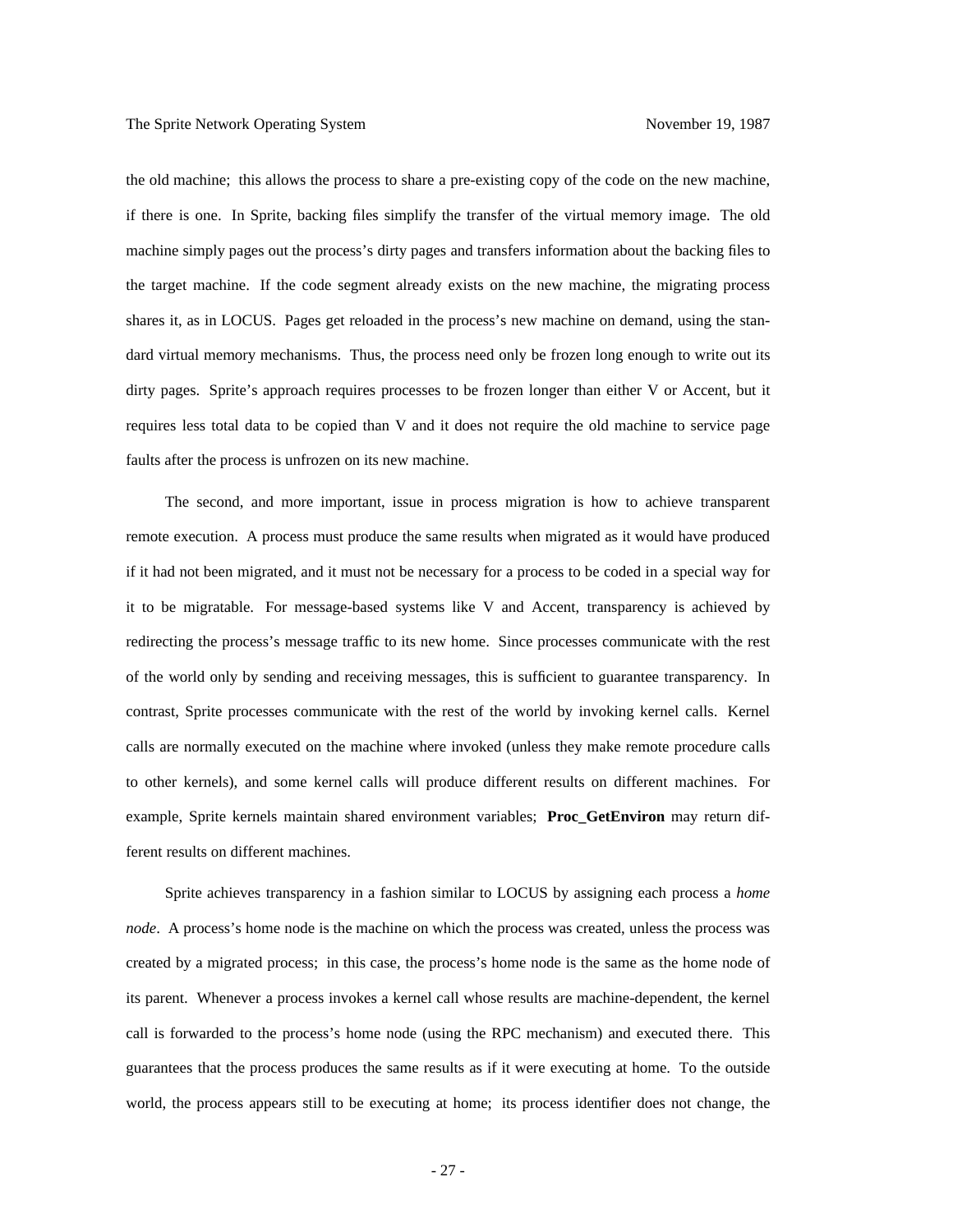the old machine; this allows the process to share a pre-existing copy of the code on the new machine, if there is one. In Sprite, backing files simplify the transfer of the virtual memory image. The old machine simply pages out the process's dirty pages and transfers information about the backing files to the target machine. If the code segment already exists on the new machine, the migrating process shares it, as in LOCUS. Pages get reloaded in the process's new machine on demand, using the standard virtual memory mechanisms. Thus, the process need only be frozen long enough to write out its dirty pages. Sprite's approach requires processes to be frozen longer than either V or Accent, but it requires less total data to be copied than V and it does not require the old machine to service page faults after the process is unfrozen on its new machine.

The second, and more important, issue in process migration is how to achieve transparent remote execution. A process must produce the same results when migrated as it would have produced if it had not been migrated, and it must not be necessary for a process to be coded in a special way for it to be migratable. For message-based systems like V and Accent, transparency is achieved by redirecting the process's message traffic to its new home. Since processes communicate with the rest of the world only by sending and receiving messages, this is sufficient to guarantee transparency. In contrast, Sprite processes communicate with the rest of the world by invoking kernel calls. Kernel calls are normally executed on the machine where invoked (unless they make remote procedure calls to other kernels), and some kernel calls will produce different results on different machines. For example, Sprite kernels maintain shared environment variables; **Proc\_GetEnviron** may return different results on different machines.

Sprite achieves transparency in a fashion similar to LOCUS by assigning each process a *home node*. A process's home node is the machine on which the process was created, unless the process was created by a migrated process; in this case, the process's home node is the same as the home node of its parent. Whenever a process invokes a kernel call whose results are machine-dependent, the kernel call is forwarded to the process's home node (using the RPC mechanism) and executed there. This guarantees that the process produces the same results as if it were executing at home. To the outside world, the process appears still to be executing at home; its process identifier does not change, the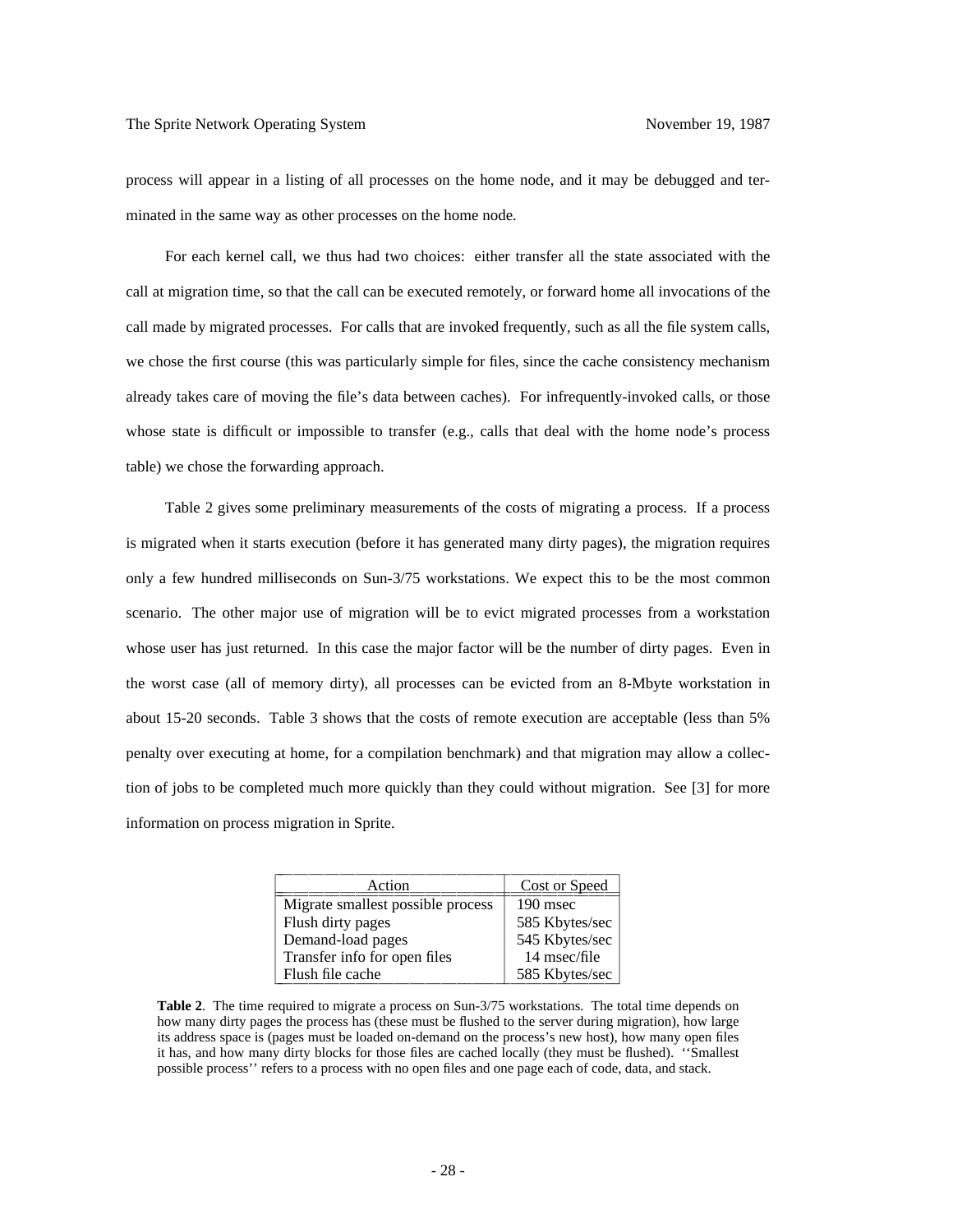process will appear in a listing of all processes on the home node, and it may be debugged and terminated in the same way as other processes on the home node.

For each kernel call, we thus had two choices: either transfer all the state associated with the call at migration time, so that the call can be executed remotely, or forward home all invocations of the call made by migrated processes. For calls that are invoked frequently, such as all the file system calls, we chose the first course (this was particularly simple for files, since the cache consistency mechanism already takes care of moving the file's data between caches). For infrequently-invoked calls, or those whose state is difficult or impossible to transfer (e.g., calls that deal with the home node's process table) we chose the forwarding approach.

Table 2 gives some preliminary measurements of the costs of migrating a process. If a process is migrated when it starts execution (before it has generated many dirty pages), the migration requires only a few hundred milliseconds on Sun-3/75 workstations. We expect this to be the most common scenario. The other major use of migration will be to evict migrated processes from a workstation whose user has just returned. In this case the major factor will be the number of dirty pages. Even in the worst case (all of memory dirty), all processes can be evicted from an 8-Mbyte workstation in about 15-20 seconds. Table 3 shows that the costs of remote execution are acceptable (less than 5% penalty over executing at home, for a compilation benchmark) and that migration may allow a collection of jobs to be completed much more quickly than they could without migration. See [3] for more information on process migration in Sprite.

| Action                            | Cost or Speed  |
|-----------------------------------|----------------|
| Migrate smallest possible process | 190 msec       |
| Flush dirty pages                 | 585 Kbytes/sec |
| Demand-load pages                 | 545 Kbytes/sec |
| Transfer info for open files      | 14 msec/file   |
| Flush file cache                  | 585 Kbytes/sec |

**Table 2**. The time required to migrate a process on Sun-3/75 workstations. The total time depends on how many dirty pages the process has (these must be flushed to the server during migration), how large its address space is (pages must be loaded on-demand on the process's new host), how many open files it has, and how many dirty blocks for those files are cached locally (they must be flushed). ''Smallest possible process'' refers to a process with no open files and one page each of code, data, and stack.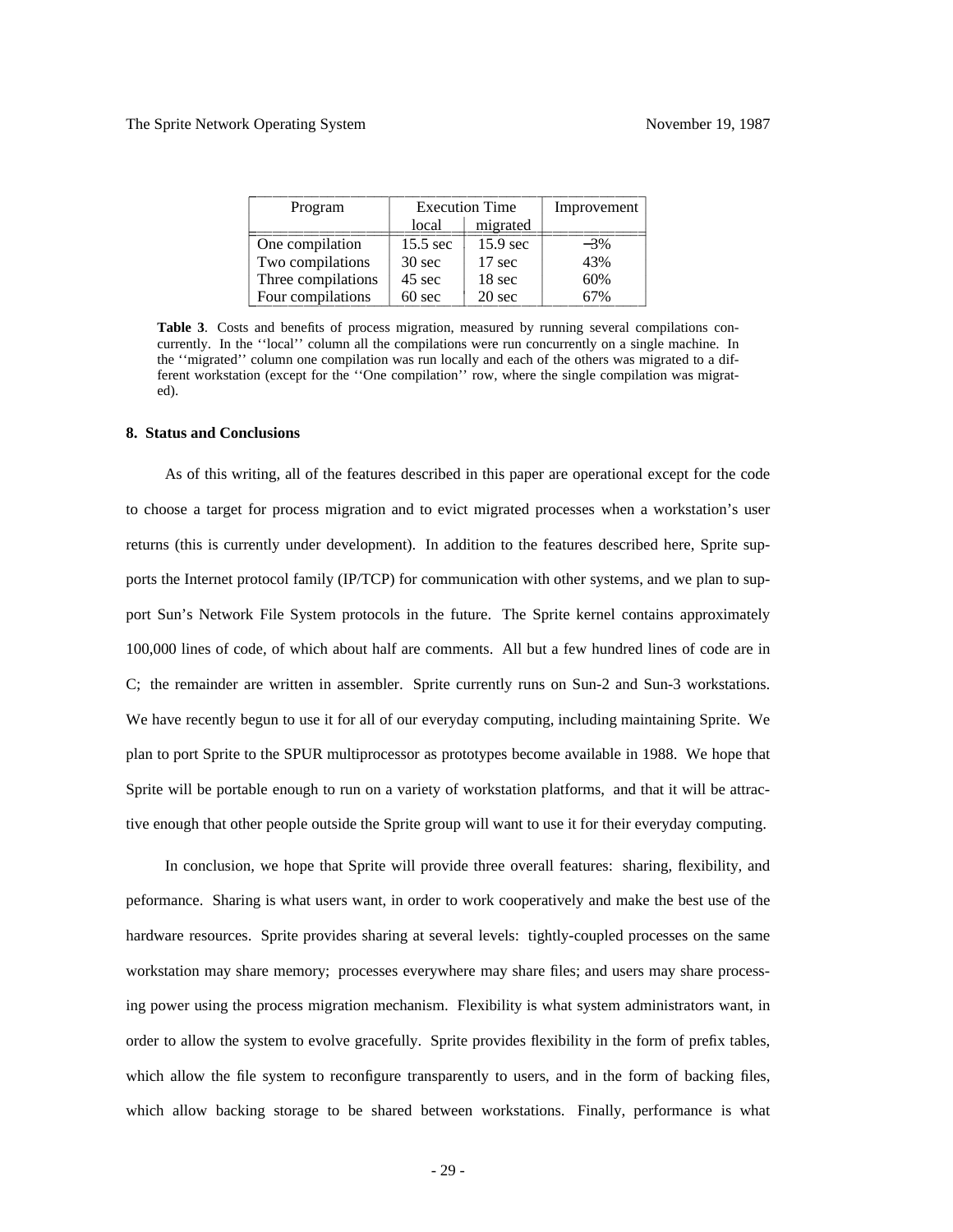| Program            | <b>Execution Time</b> |                    | Improvement |
|--------------------|-----------------------|--------------------|-------------|
|                    | local                 | migrated           |             |
| One compilation    | $15.5 \text{ sec}$    | $15.9 \text{ sec}$ | $-3\%$      |
| Two compilations   | $30 \text{ sec}$      | $17 \text{ sec}$   | 43%         |
| Three compilations | $45 \text{ sec}$      | 18 sec             | 60%         |
| Four compilations  | 60 sec                | 20 sec             | 67%         |

**Table 3**. Costs and benefits of process migration, measured by running several compilations concurrently. In the ''local'' column all the compilations were run concurrently on a single machine. In the ''migrated'' column one compilation was run locally and each of the others was migrated to a different workstation (except for the ''One compilation'' row, where the single compilation was migrated).

#### **8. Status and Conclusions**

As of this writing, all of the features described in this paper are operational except for the code to choose a target for process migration and to evict migrated processes when a workstation's user returns (this is currently under development). In addition to the features described here, Sprite supports the Internet protocol family (IP/TCP) for communication with other systems, and we plan to support Sun's Network File System protocols in the future. The Sprite kernel contains approximately 100,000 lines of code, of which about half are comments. All but a few hundred lines of code are in C; the remainder are written in assembler. Sprite currently runs on Sun-2 and Sun-3 workstations. We have recently begun to use it for all of our everyday computing, including maintaining Sprite. We plan to port Sprite to the SPUR multiprocessor as prototypes become available in 1988. We hope that Sprite will be portable enough to run on a variety of workstation platforms, and that it will be attractive enough that other people outside the Sprite group will want to use it for their everyday computing.

In conclusion, we hope that Sprite will provide three overall features: sharing, flexibility, and peformance. Sharing is what users want, in order to work cooperatively and make the best use of the hardware resources. Sprite provides sharing at several levels: tightly-coupled processes on the same workstation may share memory; processes everywhere may share files; and users may share processing power using the process migration mechanism. Flexibility is what system administrators want, in order to allow the system to evolve gracefully. Sprite provides flexibility in the form of prefix tables, which allow the file system to reconfigure transparently to users, and in the form of backing files, which allow backing storage to be shared between workstations. Finally, performance is what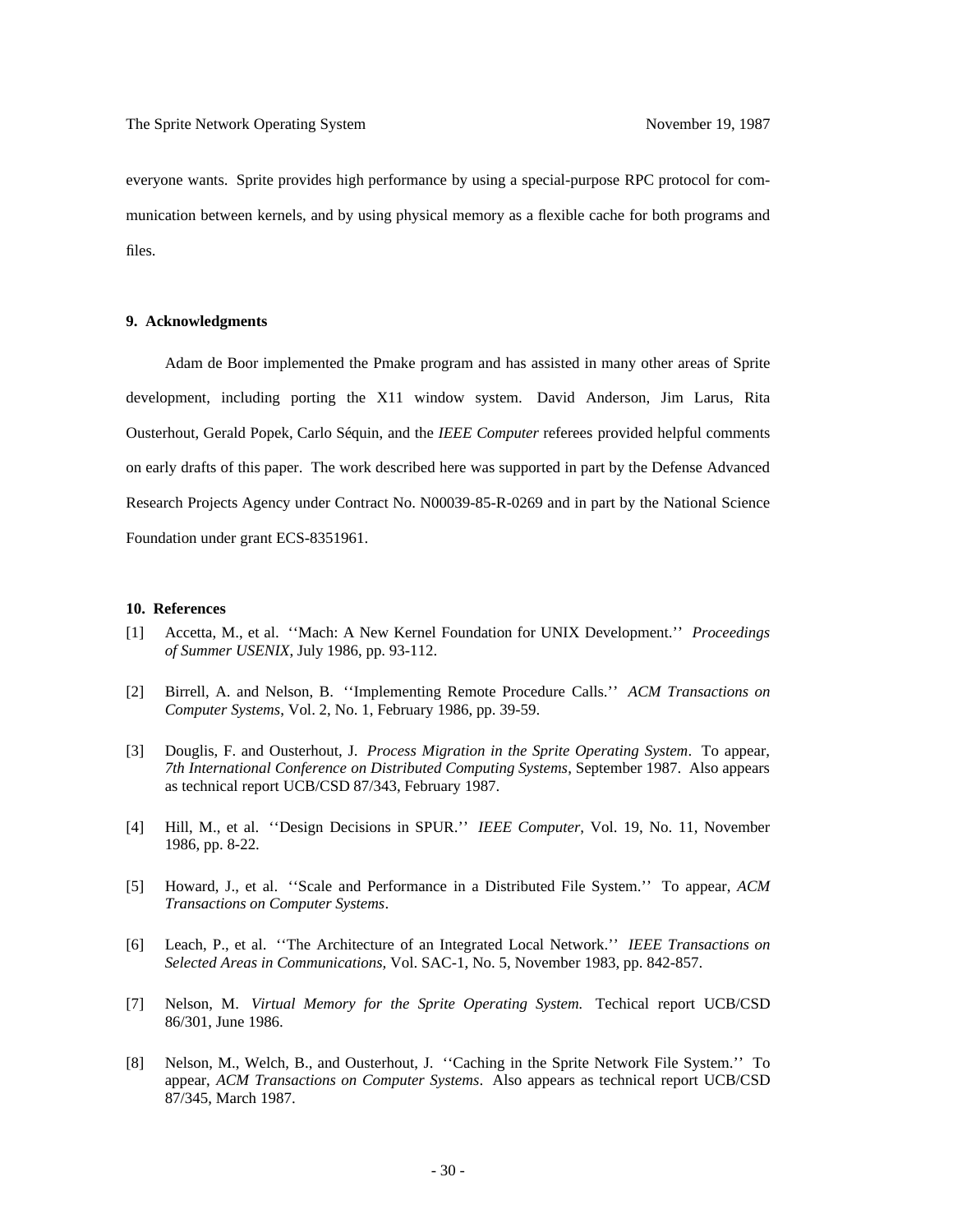everyone wants. Sprite provides high performance by using a special-purpose RPC protocol for communication between kernels, and by using physical memory as a flexible cache for both programs and files.

# **9. Acknowledgments**

Adam de Boor implemented the Pmake program and has assisted in many other areas of Sprite development, including porting the X11 window system. David Anderson, Jim Larus, Rita Ousterhout, Gerald Popek, Carlo Séquin, and the *IEEE Computer* referees provided helpful comments on early drafts of this paper. The work described here was supported in part by the Defense Advanced Research Projects Agency under Contract No. N00039-85-R-0269 and in part by the National Science Foundation under grant ECS-8351961.

# **10. References**

- [1] Accetta, M., et al. ''Mach: A New Kernel Foundation for UNIX Development.'' *Proceedings of Summer USENIX*, July 1986, pp. 93-112.
- [2] Birrell, A. and Nelson, B. ''Implementing Remote Procedure Calls.'' *ACM Transactions on Computer Systems*, Vol. 2, No. 1, February 1986, pp. 39-59.
- [3] Douglis, F. and Ousterhout, J. *Process Migration in the Sprite Operating System*. To appear, *7th International Conference on Distributed Computing Systems*, September 1987. Also appears as technical report UCB/CSD 87/343, February 1987.
- [4] Hill, M., et al. ''Design Decisions in SPUR.'' *IEEE Computer*, Vol. 19, No. 11, November 1986, pp. 8-22.
- [5] Howard, J., et al. ''Scale and Performance in a Distributed File System.'' To appear, *ACM Transactions on Computer Systems*.
- [6] Leach, P., et al. ''The Architecture of an Integrated Local Network.'' *IEEE Transactions on Selected Areas in Communications,* Vol. SAC-1, No. 5, November 1983, pp. 842-857.
- [7] Nelson, M. *Virtual Memory for the Sprite Operating System.* Techical report UCB/CSD 86/301, June 1986.
- [8] Nelson, M., Welch, B., and Ousterhout, J. ''Caching in the Sprite Network File System.'' To appear, *ACM Transactions on Computer Systems*. Also appears as technical report UCB/CSD 87/345, March 1987.